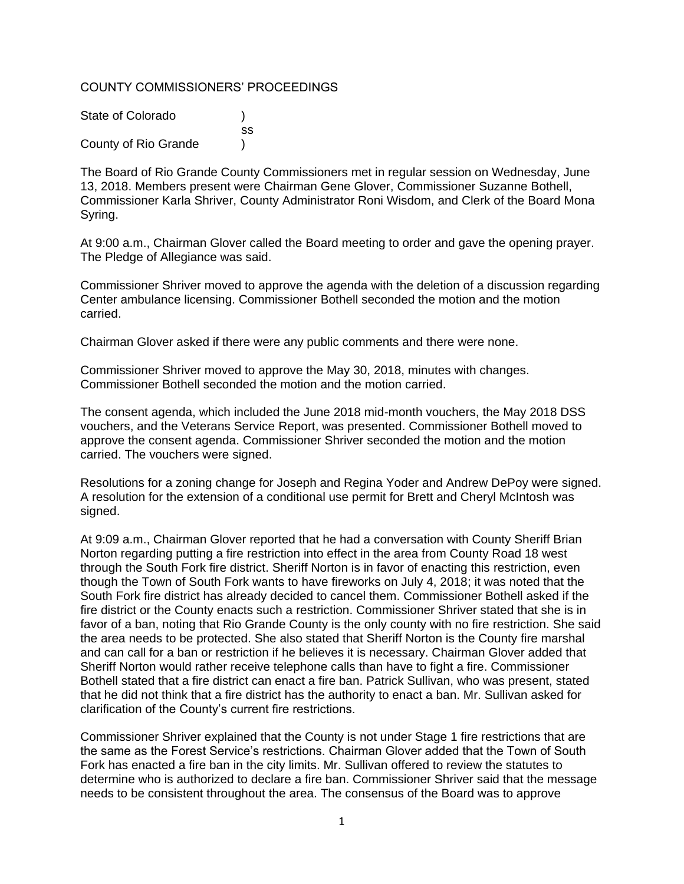# COUNTY COMMISSIONERS' PROCEEDINGS

| State of Colorado    |     |
|----------------------|-----|
|                      | SS. |
| County of Rio Grande |     |

The Board of Rio Grande County Commissioners met in regular session on Wednesday, June 13, 2018. Members present were Chairman Gene Glover, Commissioner Suzanne Bothell, Commissioner Karla Shriver, County Administrator Roni Wisdom, and Clerk of the Board Mona Syring.

At 9:00 a.m., Chairman Glover called the Board meeting to order and gave the opening prayer. The Pledge of Allegiance was said.

Commissioner Shriver moved to approve the agenda with the deletion of a discussion regarding Center ambulance licensing. Commissioner Bothell seconded the motion and the motion carried.

Chairman Glover asked if there were any public comments and there were none.

Commissioner Shriver moved to approve the May 30, 2018, minutes with changes. Commissioner Bothell seconded the motion and the motion carried.

The consent agenda, which included the June 2018 mid-month vouchers, the May 2018 DSS vouchers, and the Veterans Service Report, was presented. Commissioner Bothell moved to approve the consent agenda. Commissioner Shriver seconded the motion and the motion carried. The vouchers were signed.

Resolutions for a zoning change for Joseph and Regina Yoder and Andrew DePoy were signed. A resolution for the extension of a conditional use permit for Brett and Cheryl McIntosh was signed.

At 9:09 a.m., Chairman Glover reported that he had a conversation with County Sheriff Brian Norton regarding putting a fire restriction into effect in the area from County Road 18 west through the South Fork fire district. Sheriff Norton is in favor of enacting this restriction, even though the Town of South Fork wants to have fireworks on July 4, 2018; it was noted that the South Fork fire district has already decided to cancel them. Commissioner Bothell asked if the fire district or the County enacts such a restriction. Commissioner Shriver stated that she is in favor of a ban, noting that Rio Grande County is the only county with no fire restriction. She said the area needs to be protected. She also stated that Sheriff Norton is the County fire marshal and can call for a ban or restriction if he believes it is necessary. Chairman Glover added that Sheriff Norton would rather receive telephone calls than have to fight a fire. Commissioner Bothell stated that a fire district can enact a fire ban. Patrick Sullivan, who was present, stated that he did not think that a fire district has the authority to enact a ban. Mr. Sullivan asked for clarification of the County's current fire restrictions.

Commissioner Shriver explained that the County is not under Stage 1 fire restrictions that are the same as the Forest Service's restrictions. Chairman Glover added that the Town of South Fork has enacted a fire ban in the city limits. Mr. Sullivan offered to review the statutes to determine who is authorized to declare a fire ban. Commissioner Shriver said that the message needs to be consistent throughout the area. The consensus of the Board was to approve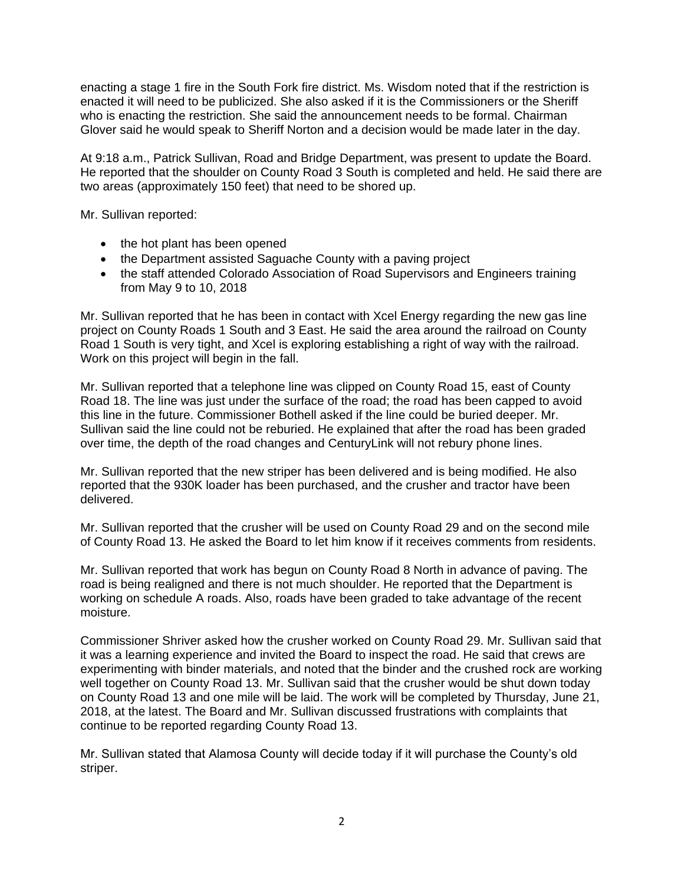enacting a stage 1 fire in the South Fork fire district. Ms. Wisdom noted that if the restriction is enacted it will need to be publicized. She also asked if it is the Commissioners or the Sheriff who is enacting the restriction. She said the announcement needs to be formal. Chairman Glover said he would speak to Sheriff Norton and a decision would be made later in the day.

At 9:18 a.m., Patrick Sullivan, Road and Bridge Department, was present to update the Board. He reported that the shoulder on County Road 3 South is completed and held. He said there are two areas (approximately 150 feet) that need to be shored up.

Mr. Sullivan reported:

- the hot plant has been opened
- the Department assisted Saguache County with a paving project
- the staff attended Colorado Association of Road Supervisors and Engineers training from May 9 to 10, 2018

Mr. Sullivan reported that he has been in contact with Xcel Energy regarding the new gas line project on County Roads 1 South and 3 East. He said the area around the railroad on County Road 1 South is very tight, and Xcel is exploring establishing a right of way with the railroad. Work on this project will begin in the fall.

Mr. Sullivan reported that a telephone line was clipped on County Road 15, east of County Road 18. The line was just under the surface of the road; the road has been capped to avoid this line in the future. Commissioner Bothell asked if the line could be buried deeper. Mr. Sullivan said the line could not be reburied. He explained that after the road has been graded over time, the depth of the road changes and CenturyLink will not rebury phone lines.

Mr. Sullivan reported that the new striper has been delivered and is being modified. He also reported that the 930K loader has been purchased, and the crusher and tractor have been delivered.

Mr. Sullivan reported that the crusher will be used on County Road 29 and on the second mile of County Road 13. He asked the Board to let him know if it receives comments from residents.

Mr. Sullivan reported that work has begun on County Road 8 North in advance of paving. The road is being realigned and there is not much shoulder. He reported that the Department is working on schedule A roads. Also, roads have been graded to take advantage of the recent moisture.

Commissioner Shriver asked how the crusher worked on County Road 29. Mr. Sullivan said that it was a learning experience and invited the Board to inspect the road. He said that crews are experimenting with binder materials, and noted that the binder and the crushed rock are working well together on County Road 13. Mr. Sullivan said that the crusher would be shut down today on County Road 13 and one mile will be laid. The work will be completed by Thursday, June 21, 2018, at the latest. The Board and Mr. Sullivan discussed frustrations with complaints that continue to be reported regarding County Road 13.

Mr. Sullivan stated that Alamosa County will decide today if it will purchase the County's old striper.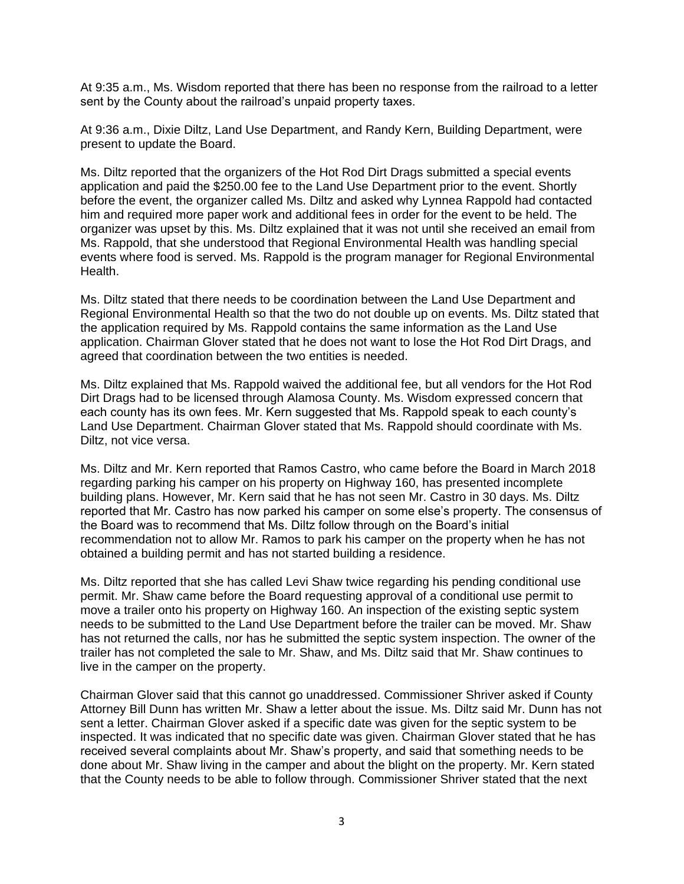At 9:35 a.m., Ms. Wisdom reported that there has been no response from the railroad to a letter sent by the County about the railroad's unpaid property taxes.

At 9:36 a.m., Dixie Diltz, Land Use Department, and Randy Kern, Building Department, were present to update the Board.

Ms. Diltz reported that the organizers of the Hot Rod Dirt Drags submitted a special events application and paid the \$250.00 fee to the Land Use Department prior to the event. Shortly before the event, the organizer called Ms. Diltz and asked why Lynnea Rappold had contacted him and required more paper work and additional fees in order for the event to be held. The organizer was upset by this. Ms. Diltz explained that it was not until she received an email from Ms. Rappold, that she understood that Regional Environmental Health was handling special events where food is served. Ms. Rappold is the program manager for Regional Environmental Health.

Ms. Diltz stated that there needs to be coordination between the Land Use Department and Regional Environmental Health so that the two do not double up on events. Ms. Diltz stated that the application required by Ms. Rappold contains the same information as the Land Use application. Chairman Glover stated that he does not want to lose the Hot Rod Dirt Drags, and agreed that coordination between the two entities is needed.

Ms. Diltz explained that Ms. Rappold waived the additional fee, but all vendors for the Hot Rod Dirt Drags had to be licensed through Alamosa County. Ms. Wisdom expressed concern that each county has its own fees. Mr. Kern suggested that Ms. Rappold speak to each county's Land Use Department. Chairman Glover stated that Ms. Rappold should coordinate with Ms. Diltz, not vice versa.

Ms. Diltz and Mr. Kern reported that Ramos Castro, who came before the Board in March 2018 regarding parking his camper on his property on Highway 160, has presented incomplete building plans. However, Mr. Kern said that he has not seen Mr. Castro in 30 days. Ms. Diltz reported that Mr. Castro has now parked his camper on some else's property. The consensus of the Board was to recommend that Ms. Diltz follow through on the Board's initial recommendation not to allow Mr. Ramos to park his camper on the property when he has not obtained a building permit and has not started building a residence.

Ms. Diltz reported that she has called Levi Shaw twice regarding his pending conditional use permit. Mr. Shaw came before the Board requesting approval of a conditional use permit to move a trailer onto his property on Highway 160. An inspection of the existing septic system needs to be submitted to the Land Use Department before the trailer can be moved. Mr. Shaw has not returned the calls, nor has he submitted the septic system inspection. The owner of the trailer has not completed the sale to Mr. Shaw, and Ms. Diltz said that Mr. Shaw continues to live in the camper on the property.

Chairman Glover said that this cannot go unaddressed. Commissioner Shriver asked if County Attorney Bill Dunn has written Mr. Shaw a letter about the issue. Ms. Diltz said Mr. Dunn has not sent a letter. Chairman Glover asked if a specific date was given for the septic system to be inspected. It was indicated that no specific date was given. Chairman Glover stated that he has received several complaints about Mr. Shaw's property, and said that something needs to be done about Mr. Shaw living in the camper and about the blight on the property. Mr. Kern stated that the County needs to be able to follow through. Commissioner Shriver stated that the next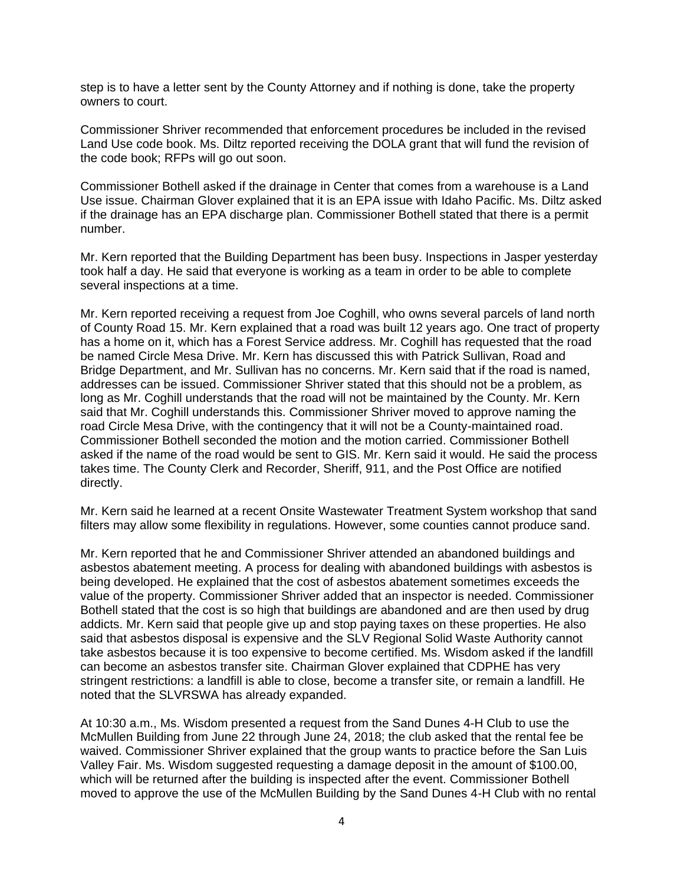step is to have a letter sent by the County Attorney and if nothing is done, take the property owners to court.

Commissioner Shriver recommended that enforcement procedures be included in the revised Land Use code book. Ms. Diltz reported receiving the DOLA grant that will fund the revision of the code book; RFPs will go out soon.

Commissioner Bothell asked if the drainage in Center that comes from a warehouse is a Land Use issue. Chairman Glover explained that it is an EPA issue with Idaho Pacific. Ms. Diltz asked if the drainage has an EPA discharge plan. Commissioner Bothell stated that there is a permit number.

Mr. Kern reported that the Building Department has been busy. Inspections in Jasper yesterday took half a day. He said that everyone is working as a team in order to be able to complete several inspections at a time.

Mr. Kern reported receiving a request from Joe Coghill, who owns several parcels of land north of County Road 15. Mr. Kern explained that a road was built 12 years ago. One tract of property has a home on it, which has a Forest Service address. Mr. Coghill has requested that the road be named Circle Mesa Drive. Mr. Kern has discussed this with Patrick Sullivan, Road and Bridge Department, and Mr. Sullivan has no concerns. Mr. Kern said that if the road is named, addresses can be issued. Commissioner Shriver stated that this should not be a problem, as long as Mr. Coghill understands that the road will not be maintained by the County. Mr. Kern said that Mr. Coghill understands this. Commissioner Shriver moved to approve naming the road Circle Mesa Drive, with the contingency that it will not be a County-maintained road. Commissioner Bothell seconded the motion and the motion carried. Commissioner Bothell asked if the name of the road would be sent to GIS. Mr. Kern said it would. He said the process takes time. The County Clerk and Recorder, Sheriff, 911, and the Post Office are notified directly.

Mr. Kern said he learned at a recent Onsite Wastewater Treatment System workshop that sand filters may allow some flexibility in regulations. However, some counties cannot produce sand.

Mr. Kern reported that he and Commissioner Shriver attended an abandoned buildings and asbestos abatement meeting. A process for dealing with abandoned buildings with asbestos is being developed. He explained that the cost of asbestos abatement sometimes exceeds the value of the property. Commissioner Shriver added that an inspector is needed. Commissioner Bothell stated that the cost is so high that buildings are abandoned and are then used by drug addicts. Mr. Kern said that people give up and stop paying taxes on these properties. He also said that asbestos disposal is expensive and the SLV Regional Solid Waste Authority cannot take asbestos because it is too expensive to become certified. Ms. Wisdom asked if the landfill can become an asbestos transfer site. Chairman Glover explained that CDPHE has very stringent restrictions: a landfill is able to close, become a transfer site, or remain a landfill. He noted that the SLVRSWA has already expanded.

At 10:30 a.m., Ms. Wisdom presented a request from the Sand Dunes 4-H Club to use the McMullen Building from June 22 through June 24, 2018; the club asked that the rental fee be waived. Commissioner Shriver explained that the group wants to practice before the San Luis Valley Fair. Ms. Wisdom suggested requesting a damage deposit in the amount of \$100.00, which will be returned after the building is inspected after the event. Commissioner Bothell moved to approve the use of the McMullen Building by the Sand Dunes 4-H Club with no rental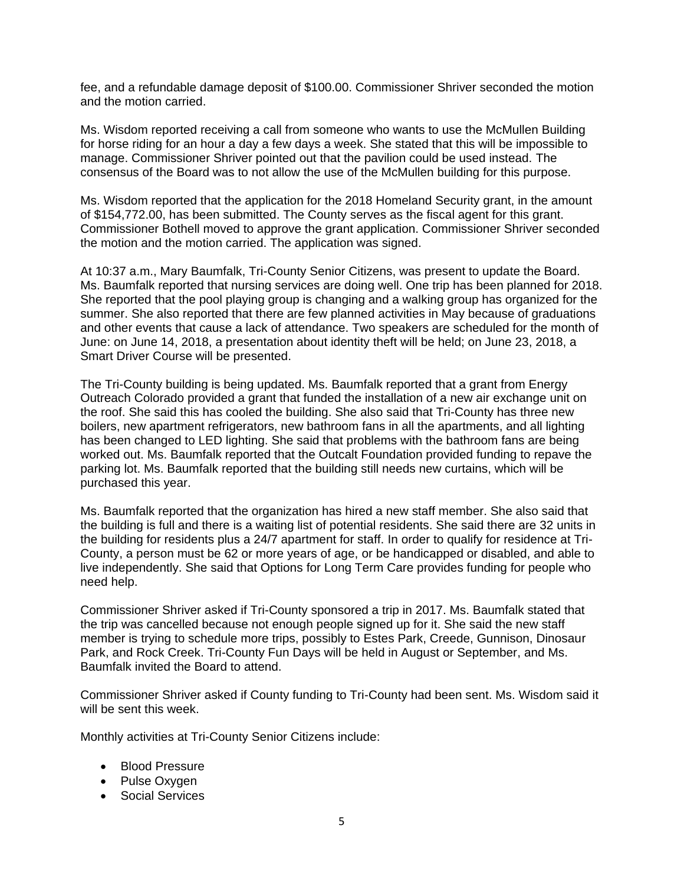fee, and a refundable damage deposit of \$100.00. Commissioner Shriver seconded the motion and the motion carried.

Ms. Wisdom reported receiving a call from someone who wants to use the McMullen Building for horse riding for an hour a day a few days a week. She stated that this will be impossible to manage. Commissioner Shriver pointed out that the pavilion could be used instead. The consensus of the Board was to not allow the use of the McMullen building for this purpose.

Ms. Wisdom reported that the application for the 2018 Homeland Security grant, in the amount of \$154,772.00, has been submitted. The County serves as the fiscal agent for this grant. Commissioner Bothell moved to approve the grant application. Commissioner Shriver seconded the motion and the motion carried. The application was signed.

At 10:37 a.m., Mary Baumfalk, Tri-County Senior Citizens, was present to update the Board. Ms. Baumfalk reported that nursing services are doing well. One trip has been planned for 2018. She reported that the pool playing group is changing and a walking group has organized for the summer. She also reported that there are few planned activities in May because of graduations and other events that cause a lack of attendance. Two speakers are scheduled for the month of June: on June 14, 2018, a presentation about identity theft will be held; on June 23, 2018, a Smart Driver Course will be presented.

The Tri-County building is being updated. Ms. Baumfalk reported that a grant from Energy Outreach Colorado provided a grant that funded the installation of a new air exchange unit on the roof. She said this has cooled the building. She also said that Tri-County has three new boilers, new apartment refrigerators, new bathroom fans in all the apartments, and all lighting has been changed to LED lighting. She said that problems with the bathroom fans are being worked out. Ms. Baumfalk reported that the Outcalt Foundation provided funding to repave the parking lot. Ms. Baumfalk reported that the building still needs new curtains, which will be purchased this year.

Ms. Baumfalk reported that the organization has hired a new staff member. She also said that the building is full and there is a waiting list of potential residents. She said there are 32 units in the building for residents plus a 24/7 apartment for staff. In order to qualify for residence at Tri-County, a person must be 62 or more years of age, or be handicapped or disabled, and able to live independently. She said that Options for Long Term Care provides funding for people who need help.

Commissioner Shriver asked if Tri-County sponsored a trip in 2017. Ms. Baumfalk stated that the trip was cancelled because not enough people signed up for it. She said the new staff member is trying to schedule more trips, possibly to Estes Park, Creede, Gunnison, Dinosaur Park, and Rock Creek. Tri-County Fun Days will be held in August or September, and Ms. Baumfalk invited the Board to attend.

Commissioner Shriver asked if County funding to Tri-County had been sent. Ms. Wisdom said it will be sent this week.

Monthly activities at Tri-County Senior Citizens include:

- Blood Pressure
- Pulse Oxygen
- Social Services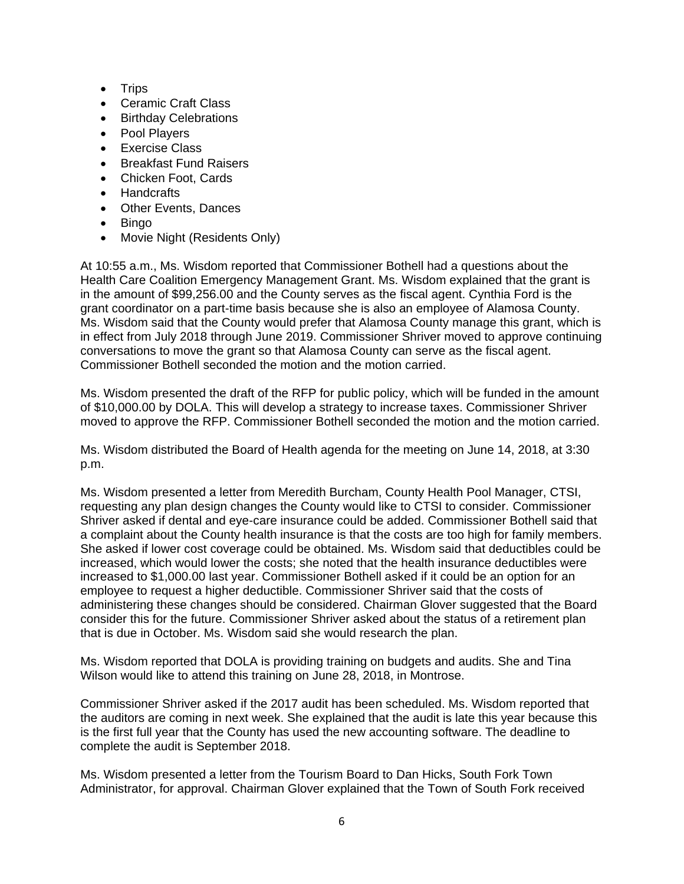- Trips
- Ceramic Craft Class
- Birthday Celebrations
- Pool Players
- Exercise Class
- Breakfast Fund Raisers
- Chicken Foot, Cards
- Handcrafts
- Other Events, Dances
- Bingo
- Movie Night (Residents Only)

At 10:55 a.m., Ms. Wisdom reported that Commissioner Bothell had a questions about the Health Care Coalition Emergency Management Grant. Ms. Wisdom explained that the grant is in the amount of \$99,256.00 and the County serves as the fiscal agent. Cynthia Ford is the grant coordinator on a part-time basis because she is also an employee of Alamosa County. Ms. Wisdom said that the County would prefer that Alamosa County manage this grant, which is in effect from July 2018 through June 2019. Commissioner Shriver moved to approve continuing conversations to move the grant so that Alamosa County can serve as the fiscal agent. Commissioner Bothell seconded the motion and the motion carried.

Ms. Wisdom presented the draft of the RFP for public policy, which will be funded in the amount of \$10,000.00 by DOLA. This will develop a strategy to increase taxes. Commissioner Shriver moved to approve the RFP. Commissioner Bothell seconded the motion and the motion carried.

Ms. Wisdom distributed the Board of Health agenda for the meeting on June 14, 2018, at 3:30 p.m.

Ms. Wisdom presented a letter from Meredith Burcham, County Health Pool Manager, CTSI, requesting any plan design changes the County would like to CTSI to consider. Commissioner Shriver asked if dental and eye-care insurance could be added. Commissioner Bothell said that a complaint about the County health insurance is that the costs are too high for family members. She asked if lower cost coverage could be obtained. Ms. Wisdom said that deductibles could be increased, which would lower the costs; she noted that the health insurance deductibles were increased to \$1,000.00 last year. Commissioner Bothell asked if it could be an option for an employee to request a higher deductible. Commissioner Shriver said that the costs of administering these changes should be considered. Chairman Glover suggested that the Board consider this for the future. Commissioner Shriver asked about the status of a retirement plan that is due in October. Ms. Wisdom said she would research the plan.

Ms. Wisdom reported that DOLA is providing training on budgets and audits. She and Tina Wilson would like to attend this training on June 28, 2018, in Montrose.

Commissioner Shriver asked if the 2017 audit has been scheduled. Ms. Wisdom reported that the auditors are coming in next week. She explained that the audit is late this year because this is the first full year that the County has used the new accounting software. The deadline to complete the audit is September 2018.

Ms. Wisdom presented a letter from the Tourism Board to Dan Hicks, South Fork Town Administrator, for approval. Chairman Glover explained that the Town of South Fork received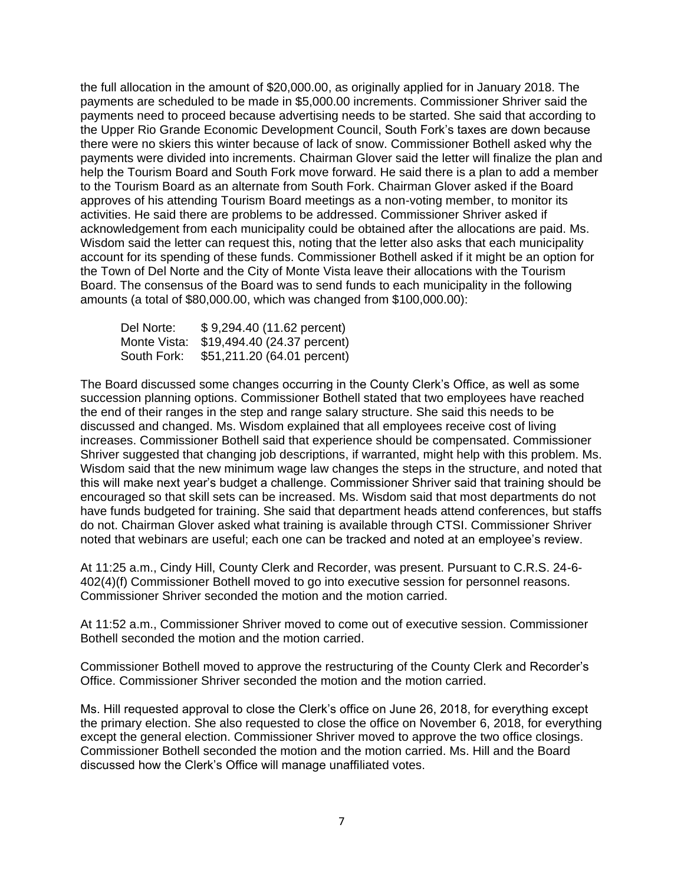the full allocation in the amount of \$20,000.00, as originally applied for in January 2018. The payments are scheduled to be made in \$5,000.00 increments. Commissioner Shriver said the payments need to proceed because advertising needs to be started. She said that according to the Upper Rio Grande Economic Development Council, South Fork's taxes are down because there were no skiers this winter because of lack of snow. Commissioner Bothell asked why the payments were divided into increments. Chairman Glover said the letter will finalize the plan and help the Tourism Board and South Fork move forward. He said there is a plan to add a member to the Tourism Board as an alternate from South Fork. Chairman Glover asked if the Board approves of his attending Tourism Board meetings as a non-voting member, to monitor its activities. He said there are problems to be addressed. Commissioner Shriver asked if acknowledgement from each municipality could be obtained after the allocations are paid. Ms. Wisdom said the letter can request this, noting that the letter also asks that each municipality account for its spending of these funds. Commissioner Bothell asked if it might be an option for the Town of Del Norte and the City of Monte Vista leave their allocations with the Tourism Board. The consensus of the Board was to send funds to each municipality in the following amounts (a total of \$80,000.00, which was changed from \$100,000.00):

Del Norte: \$ 9,294.40 (11.62 percent) Monte Vista: \$19,494.40 (24.37 percent) South Fork: \$51,211.20 (64.01 percent)

The Board discussed some changes occurring in the County Clerk's Office, as well as some succession planning options. Commissioner Bothell stated that two employees have reached the end of their ranges in the step and range salary structure. She said this needs to be discussed and changed. Ms. Wisdom explained that all employees receive cost of living increases. Commissioner Bothell said that experience should be compensated. Commissioner Shriver suggested that changing job descriptions, if warranted, might help with this problem. Ms. Wisdom said that the new minimum wage law changes the steps in the structure, and noted that this will make next year's budget a challenge. Commissioner Shriver said that training should be encouraged so that skill sets can be increased. Ms. Wisdom said that most departments do not have funds budgeted for training. She said that department heads attend conferences, but staffs do not. Chairman Glover asked what training is available through CTSI. Commissioner Shriver noted that webinars are useful; each one can be tracked and noted at an employee's review.

At 11:25 a.m., Cindy Hill, County Clerk and Recorder, was present. Pursuant to C.R.S. 24-6- 402(4)(f) Commissioner Bothell moved to go into executive session for personnel reasons. Commissioner Shriver seconded the motion and the motion carried.

At 11:52 a.m., Commissioner Shriver moved to come out of executive session. Commissioner Bothell seconded the motion and the motion carried.

Commissioner Bothell moved to approve the restructuring of the County Clerk and Recorder's Office. Commissioner Shriver seconded the motion and the motion carried.

Ms. Hill requested approval to close the Clerk's office on June 26, 2018, for everything except the primary election. She also requested to close the office on November 6, 2018, for everything except the general election. Commissioner Shriver moved to approve the two office closings. Commissioner Bothell seconded the motion and the motion carried. Ms. Hill and the Board discussed how the Clerk's Office will manage unaffiliated votes.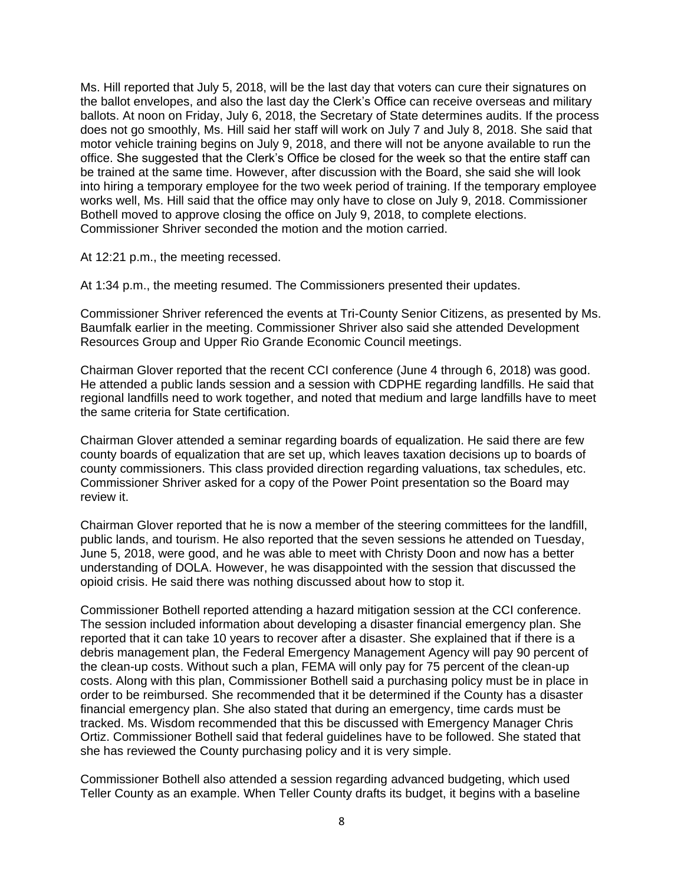Ms. Hill reported that July 5, 2018, will be the last day that voters can cure their signatures on the ballot envelopes, and also the last day the Clerk's Office can receive overseas and military ballots. At noon on Friday, July 6, 2018, the Secretary of State determines audits. If the process does not go smoothly, Ms. Hill said her staff will work on July 7 and July 8, 2018. She said that motor vehicle training begins on July 9, 2018, and there will not be anyone available to run the office. She suggested that the Clerk's Office be closed for the week so that the entire staff can be trained at the same time. However, after discussion with the Board, she said she will look into hiring a temporary employee for the two week period of training. If the temporary employee works well, Ms. Hill said that the office may only have to close on July 9, 2018. Commissioner Bothell moved to approve closing the office on July 9, 2018, to complete elections. Commissioner Shriver seconded the motion and the motion carried.

At 12:21 p.m., the meeting recessed.

At 1:34 p.m., the meeting resumed. The Commissioners presented their updates.

Commissioner Shriver referenced the events at Tri-County Senior Citizens, as presented by Ms. Baumfalk earlier in the meeting. Commissioner Shriver also said she attended Development Resources Group and Upper Rio Grande Economic Council meetings.

Chairman Glover reported that the recent CCI conference (June 4 through 6, 2018) was good. He attended a public lands session and a session with CDPHE regarding landfills. He said that regional landfills need to work together, and noted that medium and large landfills have to meet the same criteria for State certification.

Chairman Glover attended a seminar regarding boards of equalization. He said there are few county boards of equalization that are set up, which leaves taxation decisions up to boards of county commissioners. This class provided direction regarding valuations, tax schedules, etc. Commissioner Shriver asked for a copy of the Power Point presentation so the Board may review it.

Chairman Glover reported that he is now a member of the steering committees for the landfill, public lands, and tourism. He also reported that the seven sessions he attended on Tuesday, June 5, 2018, were good, and he was able to meet with Christy Doon and now has a better understanding of DOLA. However, he was disappointed with the session that discussed the opioid crisis. He said there was nothing discussed about how to stop it.

Commissioner Bothell reported attending a hazard mitigation session at the CCI conference. The session included information about developing a disaster financial emergency plan. She reported that it can take 10 years to recover after a disaster. She explained that if there is a debris management plan, the Federal Emergency Management Agency will pay 90 percent of the clean-up costs. Without such a plan, FEMA will only pay for 75 percent of the clean-up costs. Along with this plan, Commissioner Bothell said a purchasing policy must be in place in order to be reimbursed. She recommended that it be determined if the County has a disaster financial emergency plan. She also stated that during an emergency, time cards must be tracked. Ms. Wisdom recommended that this be discussed with Emergency Manager Chris Ortiz. Commissioner Bothell said that federal guidelines have to be followed. She stated that she has reviewed the County purchasing policy and it is very simple.

Commissioner Bothell also attended a session regarding advanced budgeting, which used Teller County as an example. When Teller County drafts its budget, it begins with a baseline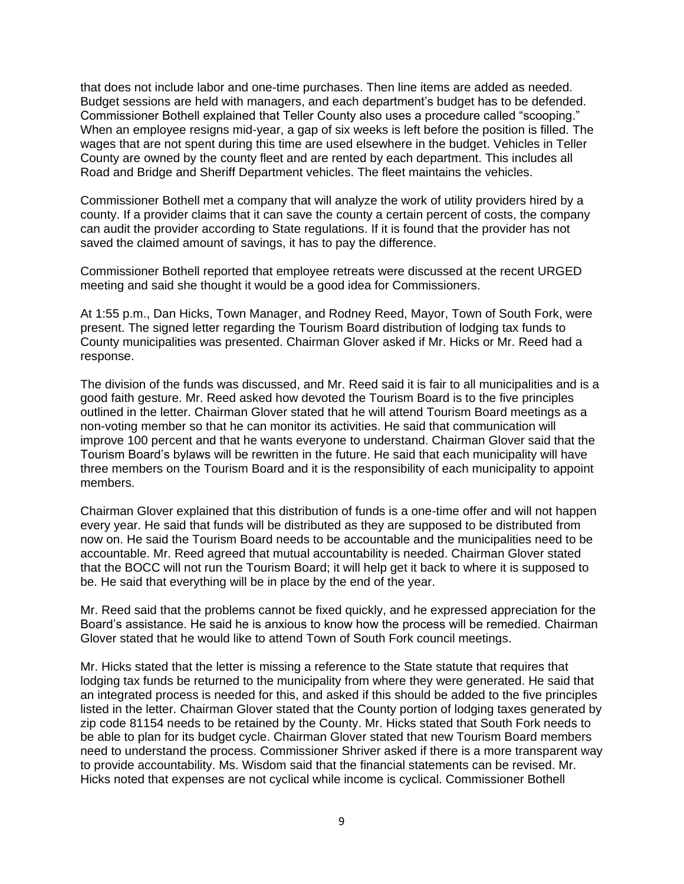that does not include labor and one-time purchases. Then line items are added as needed. Budget sessions are held with managers, and each department's budget has to be defended. Commissioner Bothell explained that Teller County also uses a procedure called "scooping." When an employee resigns mid-year, a gap of six weeks is left before the position is filled. The wages that are not spent during this time are used elsewhere in the budget. Vehicles in Teller County are owned by the county fleet and are rented by each department. This includes all Road and Bridge and Sheriff Department vehicles. The fleet maintains the vehicles.

Commissioner Bothell met a company that will analyze the work of utility providers hired by a county. If a provider claims that it can save the county a certain percent of costs, the company can audit the provider according to State regulations. If it is found that the provider has not saved the claimed amount of savings, it has to pay the difference.

Commissioner Bothell reported that employee retreats were discussed at the recent URGED meeting and said she thought it would be a good idea for Commissioners.

At 1:55 p.m., Dan Hicks, Town Manager, and Rodney Reed, Mayor, Town of South Fork, were present. The signed letter regarding the Tourism Board distribution of lodging tax funds to County municipalities was presented. Chairman Glover asked if Mr. Hicks or Mr. Reed had a response.

The division of the funds was discussed, and Mr. Reed said it is fair to all municipalities and is a good faith gesture. Mr. Reed asked how devoted the Tourism Board is to the five principles outlined in the letter. Chairman Glover stated that he will attend Tourism Board meetings as a non-voting member so that he can monitor its activities. He said that communication will improve 100 percent and that he wants everyone to understand. Chairman Glover said that the Tourism Board's bylaws will be rewritten in the future. He said that each municipality will have three members on the Tourism Board and it is the responsibility of each municipality to appoint members.

Chairman Glover explained that this distribution of funds is a one-time offer and will not happen every year. He said that funds will be distributed as they are supposed to be distributed from now on. He said the Tourism Board needs to be accountable and the municipalities need to be accountable. Mr. Reed agreed that mutual accountability is needed. Chairman Glover stated that the BOCC will not run the Tourism Board; it will help get it back to where it is supposed to be. He said that everything will be in place by the end of the year.

Mr. Reed said that the problems cannot be fixed quickly, and he expressed appreciation for the Board's assistance. He said he is anxious to know how the process will be remedied. Chairman Glover stated that he would like to attend Town of South Fork council meetings.

Mr. Hicks stated that the letter is missing a reference to the State statute that requires that lodging tax funds be returned to the municipality from where they were generated. He said that an integrated process is needed for this, and asked if this should be added to the five principles listed in the letter. Chairman Glover stated that the County portion of lodging taxes generated by zip code 81154 needs to be retained by the County. Mr. Hicks stated that South Fork needs to be able to plan for its budget cycle. Chairman Glover stated that new Tourism Board members need to understand the process. Commissioner Shriver asked if there is a more transparent way to provide accountability. Ms. Wisdom said that the financial statements can be revised. Mr. Hicks noted that expenses are not cyclical while income is cyclical. Commissioner Bothell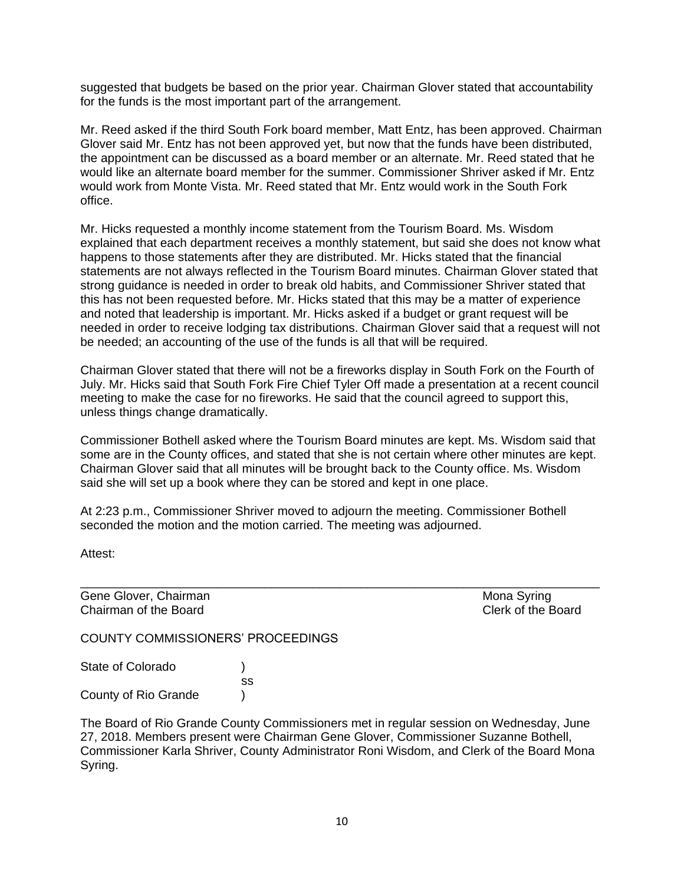suggested that budgets be based on the prior year. Chairman Glover stated that accountability for the funds is the most important part of the arrangement.

Mr. Reed asked if the third South Fork board member, Matt Entz, has been approved. Chairman Glover said Mr. Entz has not been approved yet, but now that the funds have been distributed, the appointment can be discussed as a board member or an alternate. Mr. Reed stated that he would like an alternate board member for the summer. Commissioner Shriver asked if Mr. Entz would work from Monte Vista. Mr. Reed stated that Mr. Entz would work in the South Fork office.

Mr. Hicks requested a monthly income statement from the Tourism Board. Ms. Wisdom explained that each department receives a monthly statement, but said she does not know what happens to those statements after they are distributed. Mr. Hicks stated that the financial statements are not always reflected in the Tourism Board minutes. Chairman Glover stated that strong guidance is needed in order to break old habits, and Commissioner Shriver stated that this has not been requested before. Mr. Hicks stated that this may be a matter of experience and noted that leadership is important. Mr. Hicks asked if a budget or grant request will be needed in order to receive lodging tax distributions. Chairman Glover said that a request will not be needed; an accounting of the use of the funds is all that will be required.

Chairman Glover stated that there will not be a fireworks display in South Fork on the Fourth of July. Mr. Hicks said that South Fork Fire Chief Tyler Off made a presentation at a recent council meeting to make the case for no fireworks. He said that the council agreed to support this, unless things change dramatically.

Commissioner Bothell asked where the Tourism Board minutes are kept. Ms. Wisdom said that some are in the County offices, and stated that she is not certain where other minutes are kept. Chairman Glover said that all minutes will be brought back to the County office. Ms. Wisdom said she will set up a book where they can be stored and kept in one place.

\_\_\_\_\_\_\_\_\_\_\_\_\_\_\_\_\_\_\_\_\_\_\_\_\_\_\_\_\_\_\_\_\_\_\_\_\_\_\_\_\_\_\_\_\_\_\_\_\_\_\_\_\_\_\_\_\_\_\_\_\_\_\_\_\_\_\_\_\_\_\_\_\_\_\_\_

At 2:23 p.m., Commissioner Shriver moved to adjourn the meeting. Commissioner Bothell seconded the motion and the motion carried. The meeting was adjourned.

Attest:

Gene Glover, Chairman Mona Syring Chairman of the Board Clerk of the Board

COUNTY COMMISSIONERS' PROCEEDINGS

State of Colorado (a) ss County of Rio Grande )

The Board of Rio Grande County Commissioners met in regular session on Wednesday, June 27, 2018. Members present were Chairman Gene Glover, Commissioner Suzanne Bothell, Commissioner Karla Shriver, County Administrator Roni Wisdom, and Clerk of the Board Mona Syring.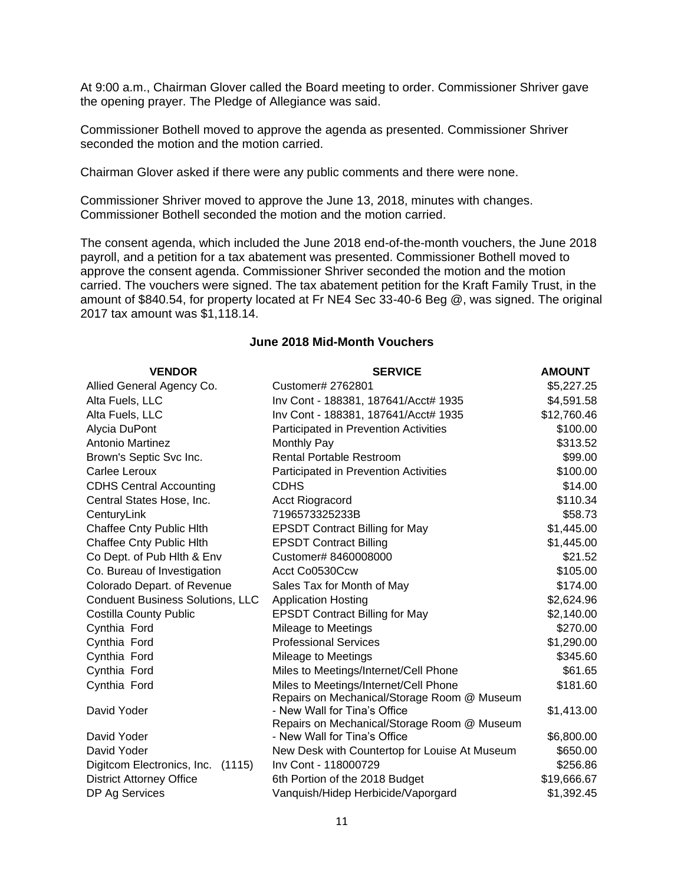At 9:00 a.m., Chairman Glover called the Board meeting to order. Commissioner Shriver gave the opening prayer. The Pledge of Allegiance was said.

Commissioner Bothell moved to approve the agenda as presented. Commissioner Shriver seconded the motion and the motion carried.

Chairman Glover asked if there were any public comments and there were none.

Commissioner Shriver moved to approve the June 13, 2018, minutes with changes. Commissioner Bothell seconded the motion and the motion carried.

The consent agenda, which included the June 2018 end-of-the-month vouchers, the June 2018 payroll, and a petition for a tax abatement was presented. Commissioner Bothell moved to approve the consent agenda. Commissioner Shriver seconded the motion and the motion carried. The vouchers were signed. The tax abatement petition for the Kraft Family Trust, in the amount of \$840.54, for property located at Fr NE4 Sec 33-40-6 Beg @, was signed. The original 2017 tax amount was \$1,118.14.

| <b>VENDOR</b>                           | <b>SERVICE</b>                                                        | <b>AMOUNT</b>          |
|-----------------------------------------|-----------------------------------------------------------------------|------------------------|
| Allied General Agency Co.               | Customer# 2762801                                                     | \$5,227.25             |
| Alta Fuels, LLC                         | Inv Cont - 188381, 187641/Acct# 1935                                  | \$4,591.58             |
| Alta Fuels, LLC                         | Inv Cont - 188381, 187641/Acct# 1935                                  | \$12,760.46            |
| Alycia DuPont                           | Participated in Prevention Activities                                 | \$100.00               |
| Antonio Martinez                        | Monthly Pay                                                           | \$313.52               |
| Brown's Septic Svc Inc.                 | <b>Rental Portable Restroom</b>                                       | \$99.00                |
| Carlee Leroux                           | Participated in Prevention Activities                                 | \$100.00               |
| <b>CDHS Central Accounting</b>          | <b>CDHS</b>                                                           | \$14.00                |
| Central States Hose, Inc.               | <b>Acct Riogracord</b>                                                | \$110.34               |
| CenturyLink                             | 7196573325233B                                                        | \$58.73                |
| Chaffee Cnty Public Hith                | <b>EPSDT Contract Billing for May</b>                                 | \$1,445.00             |
| Chaffee Cnty Public Hith                | <b>EPSDT Contract Billing</b>                                         | \$1,445.00             |
| Co Dept. of Pub Hith & Env              | Customer# 8460008000                                                  | \$21.52                |
| Co. Bureau of Investigation             | Acct Co0530Ccw                                                        | \$105.00               |
| Colorado Depart. of Revenue             | Sales Tax for Month of May                                            | \$174.00               |
| <b>Conduent Business Solutions, LLC</b> | <b>Application Hosting</b>                                            | \$2,624.96             |
| <b>Costilla County Public</b>           | <b>EPSDT Contract Billing for May</b>                                 | \$2,140.00             |
| Cynthia Ford                            | Mileage to Meetings                                                   | \$270.00               |
| Cynthia Ford                            | <b>Professional Services</b>                                          | \$1,290.00             |
| Cynthia Ford                            | Mileage to Meetings                                                   | \$345.60               |
| Cynthia Ford                            | Miles to Meetings/Internet/Cell Phone                                 | \$61.65                |
| Cynthia Ford                            | Miles to Meetings/Internet/Cell Phone                                 | \$181.60               |
|                                         | Repairs on Mechanical/Storage Room @ Museum                           |                        |
| David Yoder                             | - New Wall for Tina's Office                                          | \$1,413.00             |
|                                         | Repairs on Mechanical/Storage Room @ Museum                           |                        |
| David Yoder<br>David Yoder              | - New Wall for Tina's Office                                          | \$6,800.00<br>\$650.00 |
|                                         | New Desk with Countertop for Louise At Museum<br>Inv Cont - 118000729 |                        |
| Digitcom Electronics, Inc.<br>(1115)    |                                                                       | \$256.86               |
| <b>District Attorney Office</b>         | 6th Portion of the 2018 Budget                                        | \$19,666.67            |
| DP Ag Services                          | Vanquish/Hidep Herbicide/Vaporgard                                    | \$1,392.45             |

### **June 2018 Mid-Month Vouchers**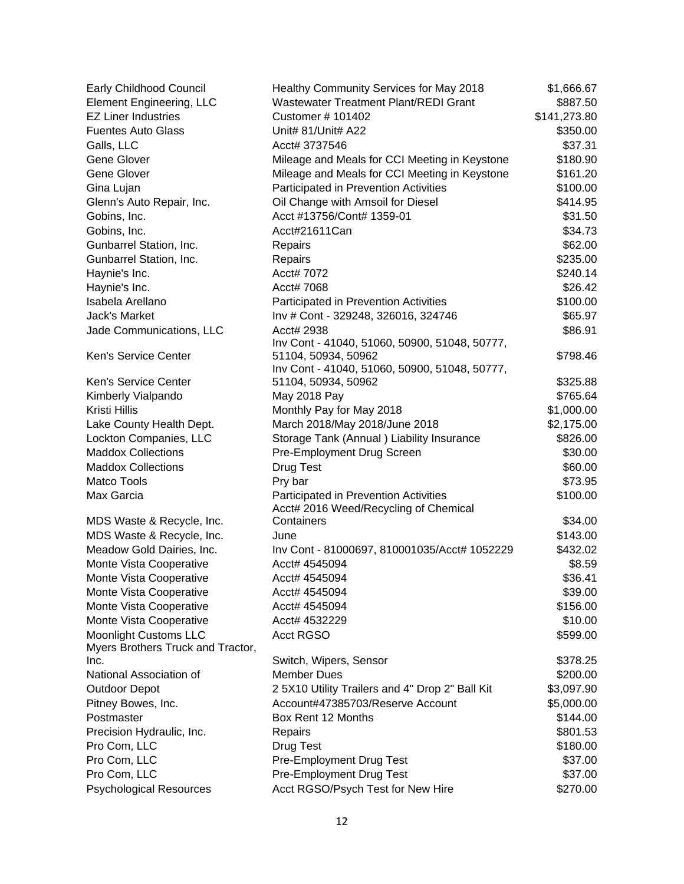| Early Childhood Council           | Healthy Community Services for May 2018                                        | \$1,666.67   |
|-----------------------------------|--------------------------------------------------------------------------------|--------------|
| <b>Element Engineering, LLC</b>   | <b>Wastewater Treatment Plant/REDI Grant</b>                                   | \$887.50     |
| <b>EZ Liner Industries</b>        | Customer # 101402                                                              | \$141,273.80 |
| <b>Fuentes Auto Glass</b>         | Unit# 81/Unit# A22                                                             | \$350.00     |
| Galls, LLC                        | Acct# 3737546                                                                  | \$37.31      |
| Gene Glover                       | Mileage and Meals for CCI Meeting in Keystone                                  | \$180.90     |
| <b>Gene Glover</b>                | Mileage and Meals for CCI Meeting in Keystone                                  | \$161.20     |
| Gina Lujan                        | Participated in Prevention Activities                                          | \$100.00     |
| Glenn's Auto Repair, Inc.         | Oil Change with Amsoil for Diesel                                              | \$414.95     |
| Gobins, Inc.                      | Acct #13756/Cont# 1359-01                                                      | \$31.50      |
| Gobins, Inc.                      | Acct#21611Can                                                                  | \$34.73      |
| Gunbarrel Station, Inc.           | Repairs                                                                        | \$62.00      |
| Gunbarrel Station, Inc.           | Repairs                                                                        | \$235.00     |
| Haynie's Inc.                     | Acct# 7072                                                                     | \$240.14     |
| Haynie's Inc.                     | Acct# 7068                                                                     | \$26.42      |
| Isabela Arellano                  | Participated in Prevention Activities                                          | \$100.00     |
| Jack's Market                     | Inv # Cont - 329248, 326016, 324746                                            | \$65.97      |
| Jade Communications, LLC          | Acct# 2938                                                                     | \$86.91      |
|                                   | Inv Cont - 41040, 51060, 50900, 51048, 50777,                                  |              |
| Ken's Service Center              | 51104, 50934, 50962                                                            | \$798.46     |
|                                   | Inv Cont - 41040, 51060, 50900, 51048, 50777,                                  |              |
| <b>Ken's Service Center</b>       | 51104, 50934, 50962                                                            | \$325.88     |
| Kimberly Vialpando                | May 2018 Pay                                                                   | \$765.64     |
| Kristi Hillis                     | Monthly Pay for May 2018                                                       | \$1,000.00   |
| Lake County Health Dept.          | March 2018/May 2018/June 2018                                                  | \$2,175.00   |
| Lockton Companies, LLC            | Storage Tank (Annual) Liability Insurance                                      | \$826.00     |
| <b>Maddox Collections</b>         | Pre-Employment Drug Screen                                                     | \$30.00      |
| <b>Maddox Collections</b>         | Drug Test                                                                      | \$60.00      |
| Matco Tools                       | Pry bar                                                                        | \$73.95      |
| Max Garcia                        | Participated in Prevention Activities<br>Acct# 2016 Weed/Recycling of Chemical | \$100.00     |
| MDS Waste & Recycle, Inc.         | Containers                                                                     | \$34.00      |
| MDS Waste & Recycle, Inc.         | June                                                                           | \$143.00     |
| Meadow Gold Dairies, Inc.         | Inv Cont - 81000697, 810001035/Acct# 1052229                                   | \$432.02     |
| Monte Vista Cooperative           | Acct# 4545094                                                                  | \$8.59       |
| Monte Vista Cooperative           | Acct# 4545094                                                                  | \$36.41      |
| Monte Vista Cooperative           | Acct# 4545094                                                                  | \$39.00      |
| Monte Vista Cooperative           | Acct# 4545094                                                                  | \$156.00     |
| Monte Vista Cooperative           | Acct# 4532229                                                                  | \$10.00      |
| <b>Moonlight Customs LLC</b>      | <b>Acct RGSO</b>                                                               | \$599.00     |
| Myers Brothers Truck and Tractor, |                                                                                |              |
| Inc.                              | Switch, Wipers, Sensor                                                         | \$378.25     |
| National Association of           | <b>Member Dues</b>                                                             | \$200.00     |
| <b>Outdoor Depot</b>              | 2 5X10 Utility Trailers and 4" Drop 2" Ball Kit                                | \$3,097.90   |
| Pitney Bowes, Inc.                | Account#47385703/Reserve Account                                               | \$5,000.00   |
| Postmaster                        | Box Rent 12 Months                                                             | \$144.00     |
| Precision Hydraulic, Inc.         | Repairs                                                                        | \$801.53     |
| Pro Com, LLC                      | <b>Drug Test</b>                                                               | \$180.00     |
| Pro Com, LLC                      | Pre-Employment Drug Test                                                       | \$37.00      |
| Pro Com, LLC                      | Pre-Employment Drug Test                                                       | \$37.00      |
| <b>Psychological Resources</b>    | Acct RGSO/Psych Test for New Hire                                              | \$270.00     |
|                                   |                                                                                |              |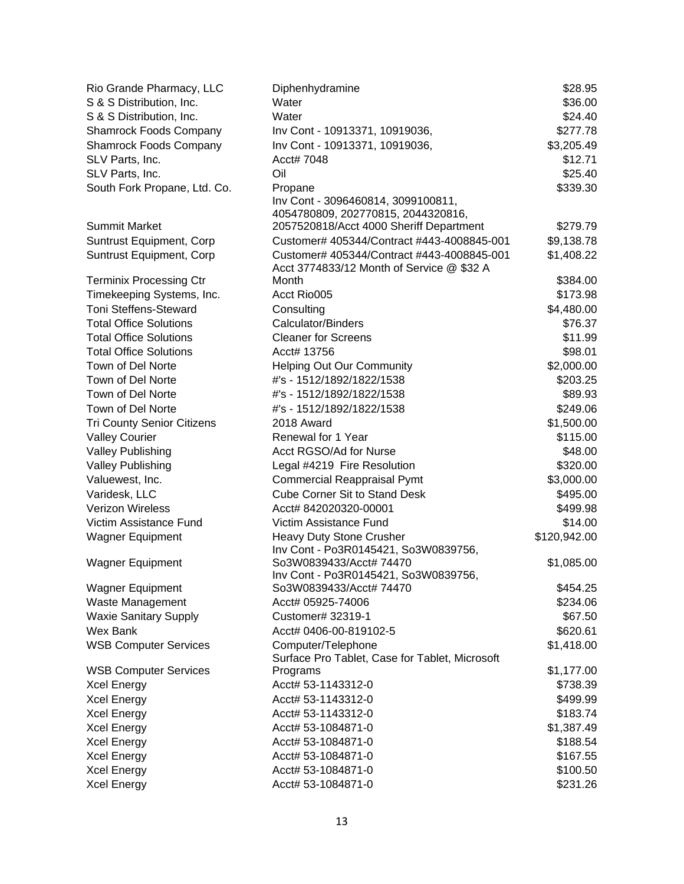| Rio Grande Pharmacy, LLC          | Diphenhydramine                                                                         | \$28.95      |
|-----------------------------------|-----------------------------------------------------------------------------------------|--------------|
| S & S Distribution, Inc.          | Water                                                                                   | \$36.00      |
| S & S Distribution, Inc.          | Water                                                                                   | \$24.40      |
| <b>Shamrock Foods Company</b>     | Inv Cont - 10913371, 10919036,                                                          | \$277.78     |
| <b>Shamrock Foods Company</b>     | Inv Cont - 10913371, 10919036,                                                          | \$3,205.49   |
| SLV Parts, Inc.                   | Acct# 7048                                                                              | \$12.71      |
| SLV Parts, Inc.                   | Oil                                                                                     | \$25.40      |
| South Fork Propane, Ltd. Co.      | Propane                                                                                 | \$339.30     |
|                                   | Inv Cont - 3096460814, 3099100811,                                                      |              |
|                                   | 4054780809, 202770815, 2044320816,                                                      |              |
| <b>Summit Market</b>              | 2057520818/Acct 4000 Sheriff Department                                                 | \$279.79     |
| Suntrust Equipment, Corp          | Customer# 405344/Contract #443-4008845-001                                              | \$9,138.78   |
| Suntrust Equipment, Corp          | Customer# 405344/Contract #443-4008845-001<br>Acct 3774833/12 Month of Service @ \$32 A | \$1,408.22   |
| <b>Terminix Processing Ctr</b>    | Month                                                                                   | \$384.00     |
| Timekeeping Systems, Inc.         | Acct Rio005                                                                             | \$173.98     |
| <b>Toni Steffens-Steward</b>      | Consulting                                                                              | \$4,480.00   |
| <b>Total Office Solutions</b>     | <b>Calculator/Binders</b>                                                               | \$76.37      |
| <b>Total Office Solutions</b>     | <b>Cleaner for Screens</b>                                                              | \$11.99      |
| <b>Total Office Solutions</b>     | Acct# 13756                                                                             | \$98.01      |
| Town of Del Norte                 | <b>Helping Out Our Community</b>                                                        | \$2,000.00   |
| Town of Del Norte                 | #'s - 1512/1892/1822/1538                                                               | \$203.25     |
| Town of Del Norte                 | #'s - 1512/1892/1822/1538                                                               | \$89.93      |
| Town of Del Norte                 | #'s - 1512/1892/1822/1538                                                               | \$249.06     |
| <b>Tri County Senior Citizens</b> | 2018 Award                                                                              | \$1,500.00   |
| <b>Valley Courier</b>             | Renewal for 1 Year                                                                      | \$115.00     |
| <b>Valley Publishing</b>          | Acct RGSO/Ad for Nurse                                                                  | \$48.00      |
| <b>Valley Publishing</b>          | Legal #4219 Fire Resolution                                                             | \$320.00     |
| Valuewest, Inc.                   | <b>Commercial Reappraisal Pymt</b>                                                      | \$3,000.00   |
| Varidesk, LLC                     | <b>Cube Corner Sit to Stand Desk</b>                                                    | \$495.00     |
| <b>Verizon Wireless</b>           | Acct# 842020320-00001                                                                   | \$499.98     |
| Victim Assistance Fund            | Victim Assistance Fund                                                                  | \$14.00      |
| <b>Wagner Equipment</b>           | Heavy Duty Stone Crusher                                                                | \$120,942.00 |
|                                   | Inv Cont - Po3R0145421, So3W0839756,                                                    |              |
| <b>Wagner Equipment</b>           | So3W0839433/Acct# 74470                                                                 | \$1,085.00   |
|                                   | Inv Cont - Po3R0145421, So3W0839756,                                                    |              |
| <b>Wagner Equipment</b>           | So3W0839433/Acct# 74470                                                                 | \$454.25     |
| Waste Management                  | Acct# 05925-74006                                                                       | \$234.06     |
| <b>Waxie Sanitary Supply</b>      | Customer# 32319-1                                                                       | \$67.50      |
| Wex Bank                          | Acct# 0406-00-819102-5                                                                  | \$620.61     |
| <b>WSB Computer Services</b>      | Computer/Telephone<br>Surface Pro Tablet, Case for Tablet, Microsoft                    | \$1,418.00   |
| <b>WSB Computer Services</b>      | Programs                                                                                | \$1,177.00   |
| <b>Xcel Energy</b>                | Acct# 53-1143312-0                                                                      | \$738.39     |
| <b>Xcel Energy</b>                | Acct# 53-1143312-0                                                                      | \$499.99     |
| <b>Xcel Energy</b>                | Acct# 53-1143312-0                                                                      | \$183.74     |
| <b>Xcel Energy</b>                | Acct# 53-1084871-0                                                                      | \$1,387.49   |
| <b>Xcel Energy</b>                | Acct# 53-1084871-0                                                                      | \$188.54     |
| <b>Xcel Energy</b>                | Acct# 53-1084871-0                                                                      | \$167.55     |
| <b>Xcel Energy</b>                | Acct# 53-1084871-0                                                                      | \$100.50     |
| <b>Xcel Energy</b>                | Acct# 53-1084871-0                                                                      | \$231.26     |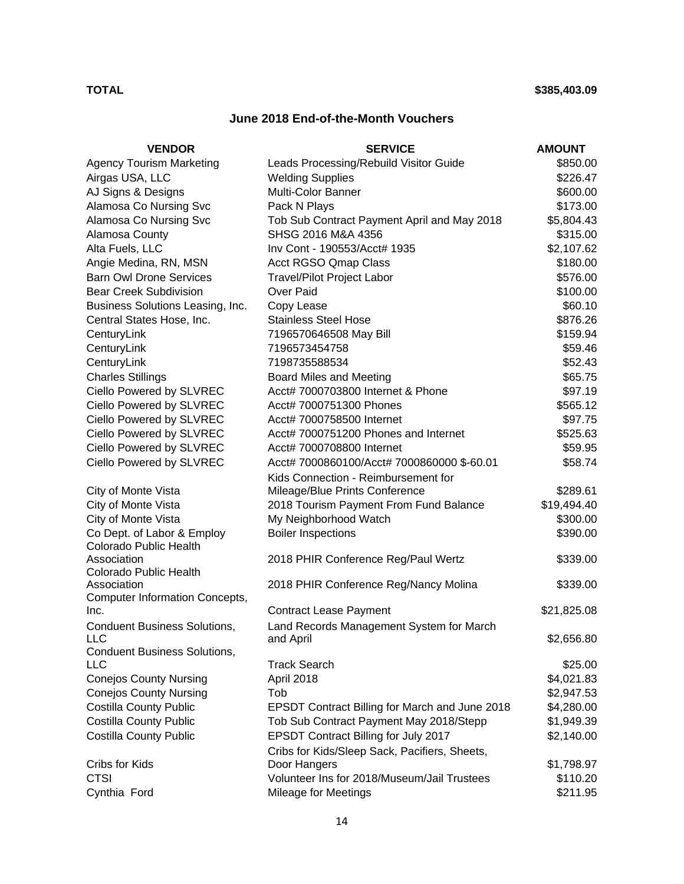# **June 2018 End-of-the-Month Vouchers**

| <b>VENDOR</b>                               | <b>SERVICE</b>                                                | <b>AMOUNT</b> |
|---------------------------------------------|---------------------------------------------------------------|---------------|
| <b>Agency Tourism Marketing</b>             | Leads Processing/Rebuild Visitor Guide                        | \$850.00      |
| Airgas USA, LLC                             | <b>Welding Supplies</b>                                       | \$226.47      |
| AJ Signs & Designs                          | Multi-Color Banner                                            | \$600.00      |
| Alamosa Co Nursing Svc                      | Pack N Plays                                                  | \$173.00      |
| Alamosa Co Nursing Svc                      | Tob Sub Contract Payment April and May 2018                   | \$5,804.43    |
| Alamosa County                              | SHSG 2016 M&A 4356                                            | \$315.00      |
| Alta Fuels, LLC                             | Inv Cont - 190553/Acct# 1935                                  | \$2,107.62    |
| Angie Medina, RN, MSN                       | <b>Acct RGSO Qmap Class</b>                                   | \$180.00      |
| <b>Barn Owl Drone Services</b>              | <b>Travel/Pilot Project Labor</b>                             | \$576.00      |
| <b>Bear Creek Subdivision</b>               | Over Paid                                                     | \$100.00      |
| Business Solutions Leasing, Inc.            | Copy Lease                                                    | \$60.10       |
| Central States Hose, Inc.                   | <b>Stainless Steel Hose</b>                                   | \$876.26      |
| CenturyLink                                 | 7196570646508 May Bill                                        | \$159.94      |
| CenturyLink                                 | 7196573454758                                                 | \$59.46       |
| CenturyLink                                 | 7198735588534                                                 | \$52.43       |
| <b>Charles Stillings</b>                    | Board Miles and Meeting                                       | \$65.75       |
| Ciello Powered by SLVREC                    | Acct# 7000703800 Internet & Phone                             | \$97.19       |
| Ciello Powered by SLVREC                    | Acct# 7000751300 Phones                                       | \$565.12      |
| Ciello Powered by SLVREC                    | Acct# 7000758500 Internet                                     | \$97.75       |
| Ciello Powered by SLVREC                    | Acct# 7000751200 Phones and Internet                          | \$525.63      |
| Ciello Powered by SLVREC                    | Acct# 7000708800 Internet                                     | \$59.95       |
| Ciello Powered by SLVREC                    | Acct# 7000860100/Acct# 7000860000 \$-60.01                    | \$58.74       |
|                                             | Kids Connection - Reimbursement for                           |               |
| City of Monte Vista                         | Mileage/Blue Prints Conference                                | \$289.61      |
| City of Monte Vista                         | 2018 Tourism Payment From Fund Balance                        | \$19,494.40   |
| City of Monte Vista                         | My Neighborhood Watch                                         | \$300.00      |
| Co Dept. of Labor & Employ                  | <b>Boiler Inspections</b>                                     | \$390.00      |
| Colorado Public Health                      |                                                               |               |
| Association                                 | 2018 PHIR Conference Reg/Paul Wertz                           | \$339.00      |
| Colorado Public Health                      |                                                               |               |
| Association                                 | 2018 PHIR Conference Reg/Nancy Molina                         | \$339.00      |
| <b>Computer Information Concepts,</b>       |                                                               |               |
| Inc.                                        | <b>Contract Lease Payment</b>                                 | \$21,825.08   |
| <b>Conduent Business Solutions,</b>         | Land Records Management System for March                      |               |
| IIC.<br><b>Conduent Business Solutions,</b> | and April                                                     | \$2,656.80    |
| LLC                                         | <b>Track Search</b>                                           | \$25.00       |
| <b>Conejos County Nursing</b>               | April 2018                                                    | \$4,021.83    |
| <b>Conejos County Nursing</b>               | Tob                                                           | \$2,947.53    |
| <b>Costilla County Public</b>               | EPSDT Contract Billing for March and June 2018                | \$4,280.00    |
| <b>Costilla County Public</b>               | Tob Sub Contract Payment May 2018/Stepp                       | \$1,949.39    |
| <b>Costilla County Public</b>               | EPSDT Contract Billing for July 2017                          | \$2,140.00    |
|                                             |                                                               |               |
| Cribs for Kids                              | Cribs for Kids/Sleep Sack, Pacifiers, Sheets,<br>Door Hangers | \$1,798.97    |
| <b>CTSI</b>                                 | Volunteer Ins for 2018/Museum/Jail Trustees                   | \$110.20      |
|                                             |                                                               |               |
| Cynthia Ford                                | Mileage for Meetings                                          | \$211.95      |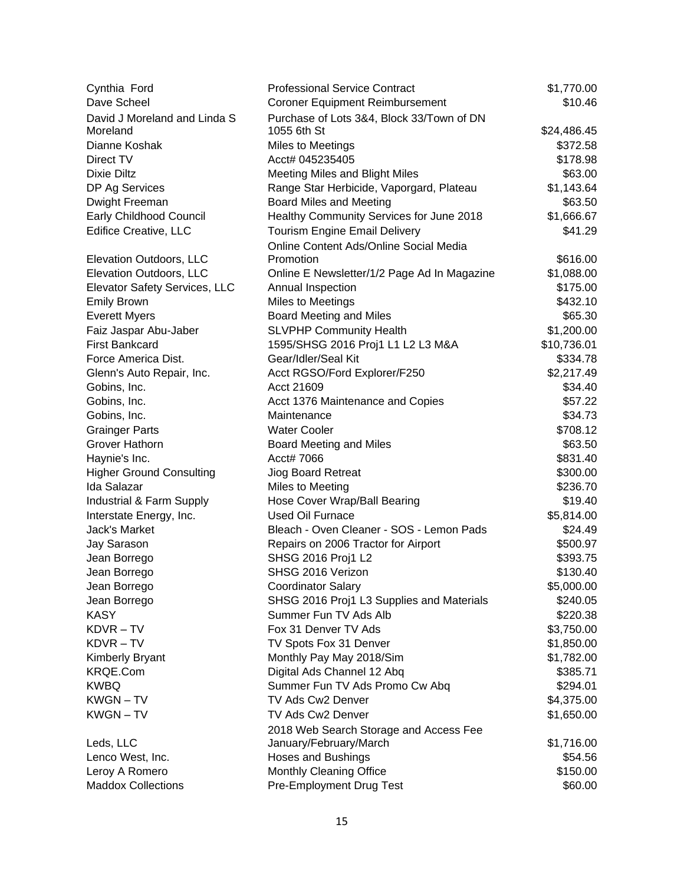| Cynthia Ford                    | <b>Professional Service Contract</b>        | \$1,770.00  |
|---------------------------------|---------------------------------------------|-------------|
| Dave Scheel                     | <b>Coroner Equipment Reimbursement</b>      | \$10.46     |
| David J Moreland and Linda S    | Purchase of Lots 3&4, Block 33/Town of DN   |             |
| Moreland                        | 1055 6th St                                 | \$24,486.45 |
| Dianne Koshak                   | <b>Miles to Meetings</b>                    | \$372.58    |
| Direct TV                       | Acct# 045235405                             | \$178.98    |
| <b>Dixie Diltz</b>              | Meeting Miles and Blight Miles              | \$63.00     |
| DP Ag Services                  | Range Star Herbicide, Vaporgard, Plateau    | \$1,143.64  |
| Dwight Freeman                  | Board Miles and Meeting                     | \$63.50     |
| Early Childhood Council         | Healthy Community Services for June 2018    | \$1,666.67  |
| <b>Edifice Creative, LLC</b>    | <b>Tourism Engine Email Delivery</b>        | \$41.29     |
|                                 | Online Content Ads/Online Social Media      |             |
| Elevation Outdoors, LLC         | Promotion                                   | \$616.00    |
| Elevation Outdoors, LLC         | Online E Newsletter/1/2 Page Ad In Magazine | \$1,088.00  |
| Elevator Safety Services, LLC   | Annual Inspection                           | \$175.00    |
| <b>Emily Brown</b>              | Miles to Meetings                           | \$432.10    |
| <b>Everett Myers</b>            | <b>Board Meeting and Miles</b>              | \$65.30     |
| Faiz Jaspar Abu-Jaber           | <b>SLVPHP Community Health</b>              | \$1,200.00  |
| <b>First Bankcard</b>           | 1595/SHSG 2016 Proj1 L1 L2 L3 M&A           | \$10,736.01 |
| Force America Dist.             | Gear/Idler/Seal Kit                         | \$334.78    |
| Glenn's Auto Repair, Inc.       | Acct RGSO/Ford Explorer/F250                | \$2,217.49  |
| Gobins, Inc.                    | Acct 21609                                  | \$34.40     |
| Gobins, Inc.                    | Acct 1376 Maintenance and Copies            | \$57.22     |
| Gobins, Inc.                    | Maintenance                                 | \$34.73     |
| <b>Grainger Parts</b>           | <b>Water Cooler</b>                         | \$708.12    |
| Grover Hathorn                  | Board Meeting and Miles                     | \$63.50     |
| Haynie's Inc.                   | Acct# 7066                                  | \$831.40    |
| <b>Higher Ground Consulting</b> | <b>Jiog Board Retreat</b>                   | \$300.00    |
| Ida Salazar                     | Miles to Meeting                            | \$236.70    |
| Industrial & Farm Supply        | Hose Cover Wrap/Ball Bearing                | \$19.40     |
| Interstate Energy, Inc.         | <b>Used Oil Furnace</b>                     | \$5,814.00  |
| Jack's Market                   | Bleach - Oven Cleaner - SOS - Lemon Pads    | \$24.49     |
| Jay Sarason                     | Repairs on 2006 Tractor for Airport         | \$500.97    |
| Jean Borrego                    | SHSG 2016 Proj1 L2                          | \$393.75    |
| Jean Borrego                    | SHSG 2016 Verizon                           | \$130.40    |
| Jean Borrego                    | <b>Coordinator Salary</b>                   | \$5,000.00  |
| Jean Borrego                    | SHSG 2016 Proj1 L3 Supplies and Materials   | \$240.05    |
| <b>KASY</b>                     | Summer Fun TV Ads Alb                       | \$220.38    |
| KDVR-TV                         | Fox 31 Denver TV Ads                        | \$3,750.00  |
| KDVR-TV                         | TV Spots Fox 31 Denver                      | \$1,850.00  |
| Kimberly Bryant                 | Monthly Pay May 2018/Sim                    | \$1,782.00  |
| KRQE.Com                        | Digital Ads Channel 12 Abq                  | \$385.71    |
| <b>KWBQ</b>                     | Summer Fun TV Ads Promo Cw Abq              | \$294.01    |
| <b>KWGN-TV</b>                  | TV Ads Cw2 Denver                           | \$4,375.00  |
| KWGN-TV                         | TV Ads Cw2 Denver                           | \$1,650.00  |
|                                 | 2018 Web Search Storage and Access Fee      |             |
| Leds, LLC                       | January/February/March                      | \$1,716.00  |
| Lenco West, Inc.                | Hoses and Bushings                          | \$54.56     |
| Leroy A Romero                  | Monthly Cleaning Office                     | \$150.00    |
| <b>Maddox Collections</b>       | Pre-Employment Drug Test                    | \$60.00     |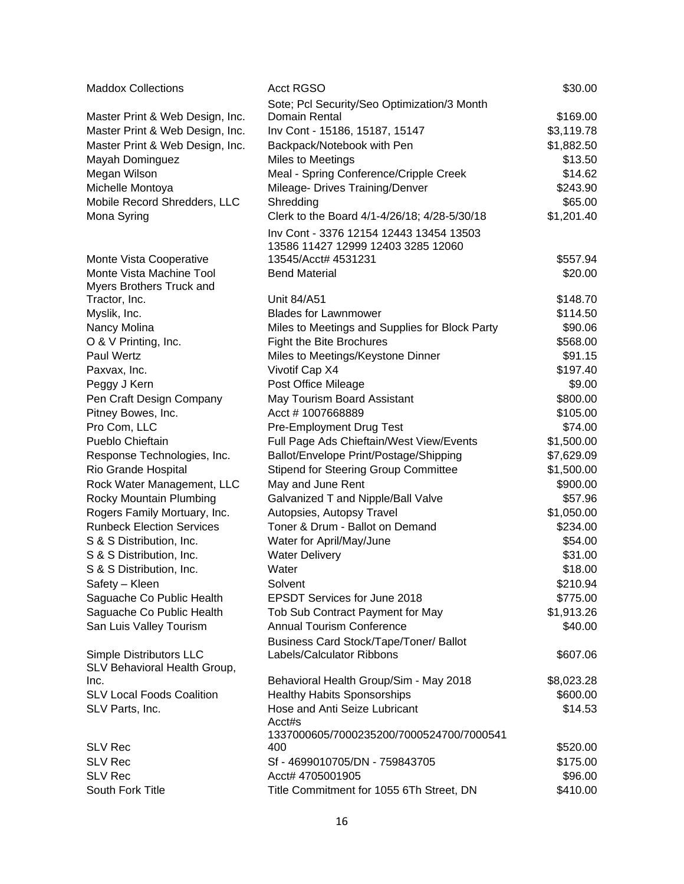| <b>Maddox Collections</b>                               | <b>Acct RGSO</b>                               | \$30.00    |
|---------------------------------------------------------|------------------------------------------------|------------|
|                                                         | Sote; Pcl Security/Seo Optimization/3 Month    |            |
| Master Print & Web Design, Inc.                         | Domain Rental                                  | \$169.00   |
| Master Print & Web Design, Inc.                         | Inv Cont - 15186, 15187, 15147                 | \$3,119.78 |
| Master Print & Web Design, Inc.                         | Backpack/Notebook with Pen                     | \$1,882.50 |
| Mayah Dominguez                                         | Miles to Meetings                              | \$13.50    |
| Megan Wilson                                            | Meal - Spring Conference/Cripple Creek         | \$14.62    |
| Michelle Montoya                                        | Mileage- Drives Training/Denver                | \$243.90   |
| Mobile Record Shredders, LLC                            | Shredding                                      | \$65.00    |
| Mona Syring                                             | Clerk to the Board 4/1-4/26/18; 4/28-5/30/18   | \$1,201.40 |
|                                                         | Inv Cont - 3376 12154 12443 13454 13503        |            |
|                                                         | 13586 11427 12999 12403 3285 12060             |            |
| Monte Vista Cooperative                                 | 13545/Acct# 4531231                            | \$557.94   |
| Monte Vista Machine Tool                                | <b>Bend Material</b>                           | \$20.00    |
| Myers Brothers Truck and                                |                                                |            |
| Tractor, Inc.                                           | Unit 84/A51                                    | \$148.70   |
| Myslik, Inc.                                            | <b>Blades for Lawnmower</b>                    | \$114.50   |
| Nancy Molina                                            | Miles to Meetings and Supplies for Block Party | \$90.06    |
| O & V Printing, Inc.                                    | Fight the Bite Brochures                       | \$568.00   |
| <b>Paul Wertz</b>                                       | Miles to Meetings/Keystone Dinner              | \$91.15    |
| Paxvax, Inc.                                            | Vivotif Cap X4                                 | \$197.40   |
| Peggy J Kern                                            | Post Office Mileage                            | \$9.00     |
| Pen Craft Design Company                                | May Tourism Board Assistant                    | \$800.00   |
| Pitney Bowes, Inc.                                      | Acct #1007668889                               | \$105.00   |
| Pro Com, LLC                                            | Pre-Employment Drug Test                       | \$74.00    |
| Pueblo Chieftain                                        | Full Page Ads Chieftain/West View/Events       | \$1,500.00 |
| Response Technologies, Inc.                             | Ballot/Envelope Print/Postage/Shipping         | \$7,629.09 |
| Rio Grande Hospital                                     | <b>Stipend for Steering Group Committee</b>    | \$1,500.00 |
| Rock Water Management, LLC                              | May and June Rent                              | \$900.00   |
| Rocky Mountain Plumbing                                 | Galvanized T and Nipple/Ball Valve             | \$57.96    |
| Rogers Family Mortuary, Inc.                            | Autopsies, Autopsy Travel                      | \$1,050.00 |
| <b>Runbeck Election Services</b>                        | Toner & Drum - Ballot on Demand                | \$234.00   |
| S & S Distribution, Inc.                                | Water for April/May/June                       | \$54.00    |
| S & S Distribution, Inc.                                | <b>Water Delivery</b>                          | \$31.00    |
| S & S Distribution, Inc.                                | Water                                          | \$18.00    |
| Safety - Kleen                                          | Solvent                                        | \$210.94   |
| Saguache Co Public Health                               | EPSDT Services for June 2018                   | \$775.00   |
| Saguache Co Public Health                               | Tob Sub Contract Payment for May               | \$1,913.26 |
| San Luis Valley Tourism                                 | <b>Annual Tourism Conference</b>               | \$40.00    |
|                                                         | Business Card Stock/Tape/Toner/ Ballot         |            |
| Simple Distributors LLC<br>SLV Behavioral Health Group, | Labels/Calculator Ribbons                      | \$607.06   |
| Inc.                                                    | Behavioral Health Group/Sim - May 2018         | \$8,023.28 |
| <b>SLV Local Foods Coalition</b>                        | <b>Healthy Habits Sponsorships</b>             | \$600.00   |
| SLV Parts, Inc.                                         | Hose and Anti Seize Lubricant                  | \$14.53    |
|                                                         | Acct#s                                         |            |
|                                                         | 1337000605/7000235200/7000524700/7000541       |            |
| <b>SLV Rec</b>                                          | 400                                            | \$520.00   |
| <b>SLV Rec</b>                                          | Sf - 4699010705/DN - 759843705                 | \$175.00   |
| <b>SLV Rec</b>                                          | Acct# 4705001905                               | \$96.00    |
| South Fork Title                                        | Title Commitment for 1055 6Th Street, DN       | \$410.00   |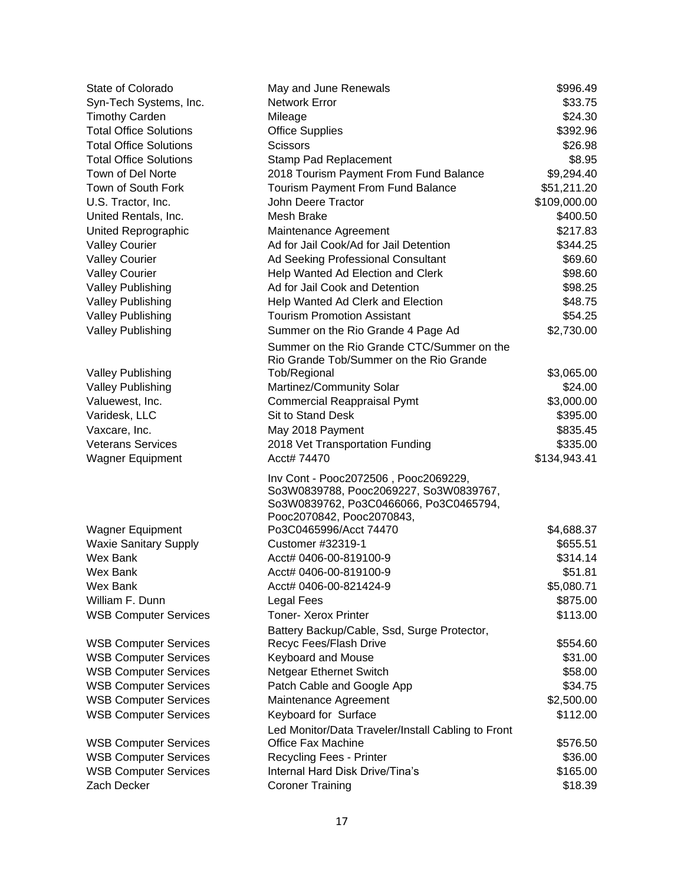| State of Colorado                                    | May and June Renewals                                               | \$996.49              |
|------------------------------------------------------|---------------------------------------------------------------------|-----------------------|
| Syn-Tech Systems, Inc.                               | Network Error                                                       | \$33.75               |
| <b>Timothy Carden</b>                                | Mileage                                                             | \$24.30               |
| <b>Total Office Solutions</b>                        | <b>Office Supplies</b>                                              | \$392.96              |
| <b>Total Office Solutions</b>                        | <b>Scissors</b>                                                     | \$26.98               |
| <b>Total Office Solutions</b>                        | Stamp Pad Replacement                                               | \$8.95                |
| Town of Del Norte                                    | 2018 Tourism Payment From Fund Balance                              | \$9,294.40            |
| Town of South Fork                                   | Tourism Payment From Fund Balance                                   | \$51,211.20           |
| U.S. Tractor, Inc.                                   | John Deere Tractor                                                  | \$109,000.00          |
| United Rentals, Inc.                                 | Mesh Brake                                                          | \$400.50              |
| United Reprographic                                  | Maintenance Agreement                                               | \$217.83              |
| <b>Valley Courier</b>                                | Ad for Jail Cook/Ad for Jail Detention                              | \$344.25              |
| <b>Valley Courier</b>                                | Ad Seeking Professional Consultant                                  | \$69.60               |
| <b>Valley Courier</b>                                | Help Wanted Ad Election and Clerk                                   | \$98.60               |
| <b>Valley Publishing</b>                             | Ad for Jail Cook and Detention                                      | \$98.25               |
| <b>Valley Publishing</b>                             | Help Wanted Ad Clerk and Election                                   | \$48.75               |
| <b>Valley Publishing</b>                             | <b>Tourism Promotion Assistant</b>                                  | \$54.25               |
| <b>Valley Publishing</b>                             | Summer on the Rio Grande 4 Page Ad                                  | \$2,730.00            |
|                                                      | Summer on the Rio Grande CTC/Summer on the                          |                       |
|                                                      | Rio Grande Tob/Summer on the Rio Grande                             |                       |
| <b>Valley Publishing</b><br><b>Valley Publishing</b> | Tob/Regional<br>Martinez/Community Solar                            | \$3,065.00<br>\$24.00 |
| Valuewest, Inc.                                      | <b>Commercial Reappraisal Pymt</b>                                  | \$3,000.00            |
| Varidesk, LLC                                        | Sit to Stand Desk                                                   | \$395.00              |
|                                                      |                                                                     |                       |
| Vaxcare, Inc.<br><b>Veterans Services</b>            | May 2018 Payment                                                    | \$835.45<br>\$335.00  |
|                                                      | 2018 Vet Transportation Funding<br>Acct# 74470                      |                       |
| <b>Wagner Equipment</b>                              |                                                                     | \$134,943.41          |
|                                                      | Inv Cont - Pooc2072506, Pooc2069229,                                |                       |
|                                                      | So3W0839788, Pooc2069227, So3W0839767,                              |                       |
|                                                      | So3W0839762, Po3C0466066, Po3C0465794,<br>Pooc2070842, Pooc2070843, |                       |
| <b>Wagner Equipment</b>                              | Po3C0465996/Acct 74470                                              | \$4,688.37            |
| <b>Waxie Sanitary Supply</b>                         | Customer #32319-1                                                   | \$655.51              |
| Wex Bank                                             | Acct# 0406-00-819100-9                                              | \$314.14              |
| Wex Bank                                             | Acct# 0406-00-819100-9                                              | \$51.81               |
| Wex Bank                                             | Acct# 0406-00-821424-9                                              | \$5,080.71            |
| William F. Dunn                                      | Legal Fees                                                          | \$875.00              |
| <b>WSB Computer Services</b>                         | <b>Toner- Xerox Printer</b>                                         | \$113.00              |
|                                                      | Battery Backup/Cable, Ssd, Surge Protector,                         |                       |
| <b>WSB Computer Services</b>                         | Recyc Fees/Flash Drive                                              | \$554.60              |
| <b>WSB Computer Services</b>                         | Keyboard and Mouse                                                  | \$31.00               |
| <b>WSB Computer Services</b>                         | Netgear Ethernet Switch                                             | \$58.00               |
| <b>WSB Computer Services</b>                         | Patch Cable and Google App                                          | \$34.75               |
| <b>WSB Computer Services</b>                         | Maintenance Agreement                                               | \$2,500.00            |
| <b>WSB Computer Services</b>                         | Keyboard for Surface                                                | \$112.00              |
|                                                      | Led Monitor/Data Traveler/Install Cabling to Front                  |                       |
| <b>WSB Computer Services</b>                         | Office Fax Machine                                                  | \$576.50              |
| <b>WSB Computer Services</b>                         | Recycling Fees - Printer                                            | \$36.00               |
| <b>WSB Computer Services</b>                         | Internal Hard Disk Drive/Tina's                                     | \$165.00              |
| Zach Decker                                          | <b>Coroner Training</b>                                             | \$18.39               |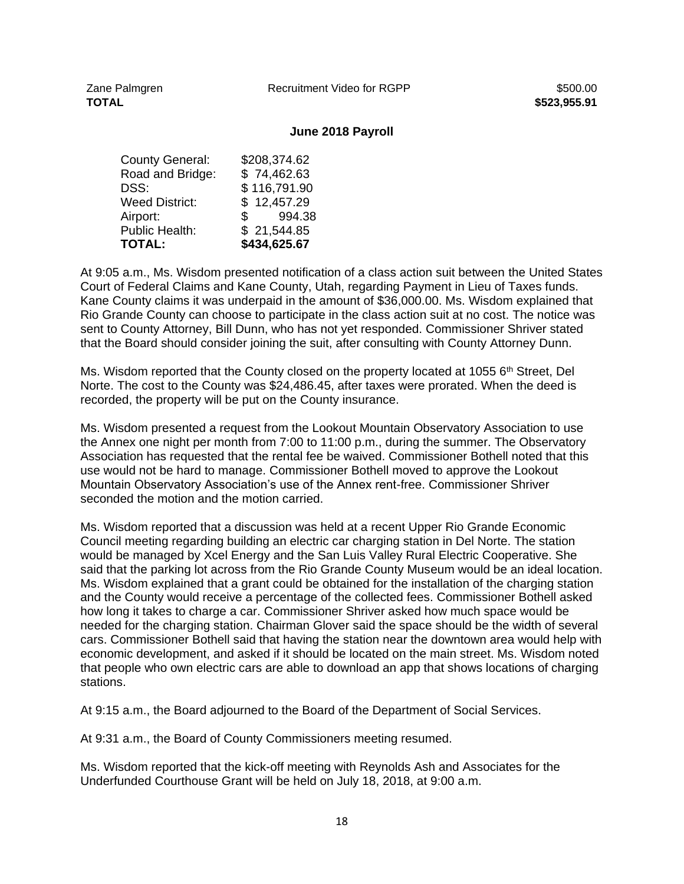## **June 2018 Payroll**

| County General:       | \$208,374.62 |
|-----------------------|--------------|
| Road and Bridge:      | \$74,462.63  |
| DSS:                  | \$116,791.90 |
| <b>Weed District:</b> | \$12,457.29  |
| Airport:              | 994.38<br>\$ |
| <b>Public Health:</b> | \$21,544.85  |
| <b>TOTAL:</b>         | \$434,625.67 |
|                       |              |

At 9:05 a.m., Ms. Wisdom presented notification of a class action suit between the United States Court of Federal Claims and Kane County, Utah, regarding Payment in Lieu of Taxes funds. Kane County claims it was underpaid in the amount of \$36,000.00. Ms. Wisdom explained that Rio Grande County can choose to participate in the class action suit at no cost. The notice was sent to County Attorney, Bill Dunn, who has not yet responded. Commissioner Shriver stated that the Board should consider joining the suit, after consulting with County Attorney Dunn.

Ms. Wisdom reported that the County closed on the property located at 1055 6<sup>th</sup> Street, Del Norte. The cost to the County was \$24,486.45, after taxes were prorated. When the deed is recorded, the property will be put on the County insurance.

Ms. Wisdom presented a request from the Lookout Mountain Observatory Association to use the Annex one night per month from 7:00 to 11:00 p.m., during the summer. The Observatory Association has requested that the rental fee be waived. Commissioner Bothell noted that this use would not be hard to manage. Commissioner Bothell moved to approve the Lookout Mountain Observatory Association's use of the Annex rent-free. Commissioner Shriver seconded the motion and the motion carried.

Ms. Wisdom reported that a discussion was held at a recent Upper Rio Grande Economic Council meeting regarding building an electric car charging station in Del Norte. The station would be managed by Xcel Energy and the San Luis Valley Rural Electric Cooperative. She said that the parking lot across from the Rio Grande County Museum would be an ideal location. Ms. Wisdom explained that a grant could be obtained for the installation of the charging station and the County would receive a percentage of the collected fees. Commissioner Bothell asked how long it takes to charge a car. Commissioner Shriver asked how much space would be needed for the charging station. Chairman Glover said the space should be the width of several cars. Commissioner Bothell said that having the station near the downtown area would help with economic development, and asked if it should be located on the main street. Ms. Wisdom noted that people who own electric cars are able to download an app that shows locations of charging stations.

At 9:15 a.m., the Board adjourned to the Board of the Department of Social Services.

At 9:31 a.m., the Board of County Commissioners meeting resumed.

Ms. Wisdom reported that the kick-off meeting with Reynolds Ash and Associates for the Underfunded Courthouse Grant will be held on July 18, 2018, at 9:00 a.m.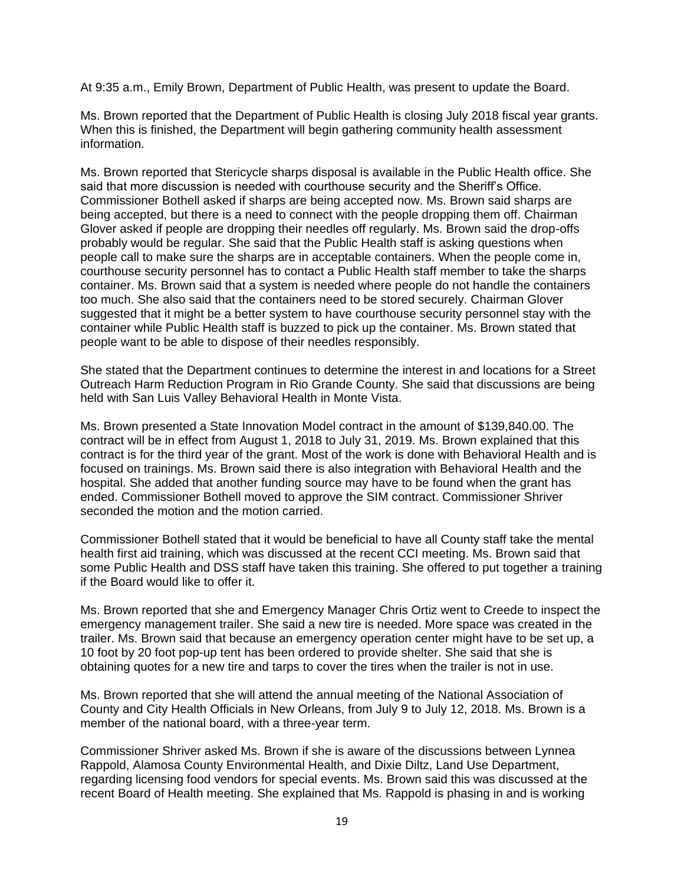At 9:35 a.m., Emily Brown, Department of Public Health, was present to update the Board.

Ms. Brown reported that the Department of Public Health is closing July 2018 fiscal year grants. When this is finished, the Department will begin gathering community health assessment information.

Ms. Brown reported that Stericycle sharps disposal is available in the Public Health office. She said that more discussion is needed with courthouse security and the Sheriff's Office. Commissioner Bothell asked if sharps are being accepted now. Ms. Brown said sharps are being accepted, but there is a need to connect with the people dropping them off. Chairman Glover asked if people are dropping their needles off regularly. Ms. Brown said the drop-offs probably would be regular. She said that the Public Health staff is asking questions when people call to make sure the sharps are in acceptable containers. When the people come in, courthouse security personnel has to contact a Public Health staff member to take the sharps container. Ms. Brown said that a system is needed where people do not handle the containers too much. She also said that the containers need to be stored securely. Chairman Glover suggested that it might be a better system to have courthouse security personnel stay with the container while Public Health staff is buzzed to pick up the container. Ms. Brown stated that people want to be able to dispose of their needles responsibly.

She stated that the Department continues to determine the interest in and locations for a Street Outreach Harm Reduction Program in Rio Grande County. She said that discussions are being held with San Luis Valley Behavioral Health in Monte Vista.

Ms. Brown presented a State Innovation Model contract in the amount of \$139,840.00. The contract will be in effect from August 1, 2018 to July 31, 2019. Ms. Brown explained that this contract is for the third year of the grant. Most of the work is done with Behavioral Health and is focused on trainings. Ms. Brown said there is also integration with Behavioral Health and the hospital. She added that another funding source may have to be found when the grant has ended. Commissioner Bothell moved to approve the SIM contract. Commissioner Shriver seconded the motion and the motion carried.

Commissioner Bothell stated that it would be beneficial to have all County staff take the mental health first aid training, which was discussed at the recent CCI meeting. Ms. Brown said that some Public Health and DSS staff have taken this training. She offered to put together a training if the Board would like to offer it.

Ms. Brown reported that she and Emergency Manager Chris Ortiz went to Creede to inspect the emergency management trailer. She said a new tire is needed. More space was created in the trailer. Ms. Brown said that because an emergency operation center might have to be set up, a 10 foot by 20 foot pop-up tent has been ordered to provide shelter. She said that she is obtaining quotes for a new tire and tarps to cover the tires when the trailer is not in use.

Ms. Brown reported that she will attend the annual meeting of the National Association of County and City Health Officials in New Orleans, from July 9 to July 12, 2018. Ms. Brown is a member of the national board, with a three-year term.

Commissioner Shriver asked Ms. Brown if she is aware of the discussions between Lynnea Rappold, Alamosa County Environmental Health, and Dixie Diltz, Land Use Department, regarding licensing food vendors for special events. Ms. Brown said this was discussed at the recent Board of Health meeting. She explained that Ms. Rappold is phasing in and is working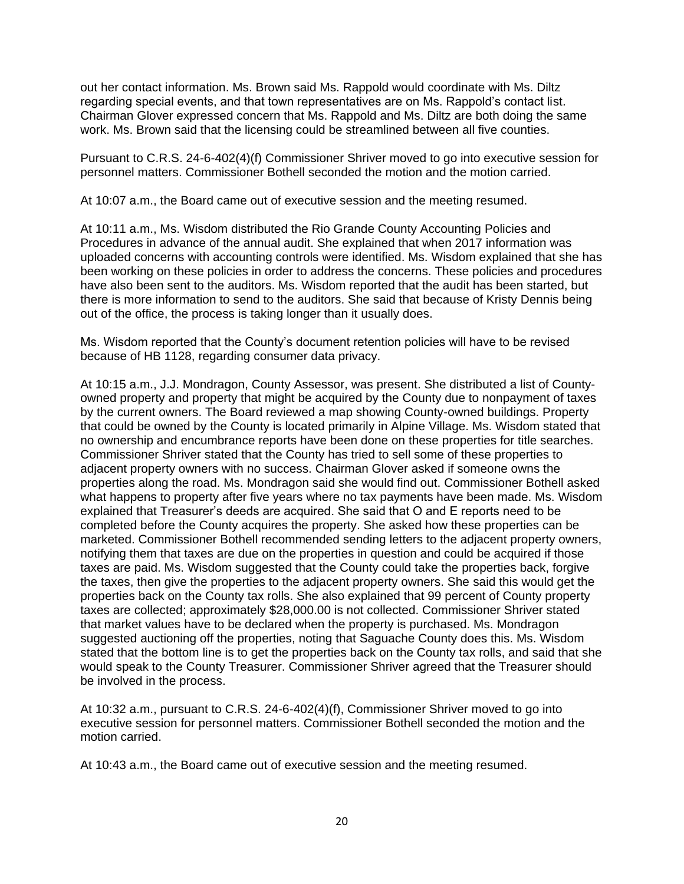out her contact information. Ms. Brown said Ms. Rappold would coordinate with Ms. Diltz regarding special events, and that town representatives are on Ms. Rappold's contact list. Chairman Glover expressed concern that Ms. Rappold and Ms. Diltz are both doing the same work. Ms. Brown said that the licensing could be streamlined between all five counties.

Pursuant to C.R.S. 24-6-402(4)(f) Commissioner Shriver moved to go into executive session for personnel matters. Commissioner Bothell seconded the motion and the motion carried.

At 10:07 a.m., the Board came out of executive session and the meeting resumed.

At 10:11 a.m., Ms. Wisdom distributed the Rio Grande County Accounting Policies and Procedures in advance of the annual audit. She explained that when 2017 information was uploaded concerns with accounting controls were identified. Ms. Wisdom explained that she has been working on these policies in order to address the concerns. These policies and procedures have also been sent to the auditors. Ms. Wisdom reported that the audit has been started, but there is more information to send to the auditors. She said that because of Kristy Dennis being out of the office, the process is taking longer than it usually does.

Ms. Wisdom reported that the County's document retention policies will have to be revised because of HB 1128, regarding consumer data privacy.

At 10:15 a.m., J.J. Mondragon, County Assessor, was present. She distributed a list of Countyowned property and property that might be acquired by the County due to nonpayment of taxes by the current owners. The Board reviewed a map showing County-owned buildings. Property that could be owned by the County is located primarily in Alpine Village. Ms. Wisdom stated that no ownership and encumbrance reports have been done on these properties for title searches. Commissioner Shriver stated that the County has tried to sell some of these properties to adjacent property owners with no success. Chairman Glover asked if someone owns the properties along the road. Ms. Mondragon said she would find out. Commissioner Bothell asked what happens to property after five years where no tax payments have been made. Ms. Wisdom explained that Treasurer's deeds are acquired. She said that O and E reports need to be completed before the County acquires the property. She asked how these properties can be marketed. Commissioner Bothell recommended sending letters to the adjacent property owners, notifying them that taxes are due on the properties in question and could be acquired if those taxes are paid. Ms. Wisdom suggested that the County could take the properties back, forgive the taxes, then give the properties to the adjacent property owners. She said this would get the properties back on the County tax rolls. She also explained that 99 percent of County property taxes are collected; approximately \$28,000.00 is not collected. Commissioner Shriver stated that market values have to be declared when the property is purchased. Ms. Mondragon suggested auctioning off the properties, noting that Saguache County does this. Ms. Wisdom stated that the bottom line is to get the properties back on the County tax rolls, and said that she would speak to the County Treasurer. Commissioner Shriver agreed that the Treasurer should be involved in the process.

At 10:32 a.m., pursuant to C.R.S. 24-6-402(4)(f), Commissioner Shriver moved to go into executive session for personnel matters. Commissioner Bothell seconded the motion and the motion carried.

At 10:43 a.m., the Board came out of executive session and the meeting resumed.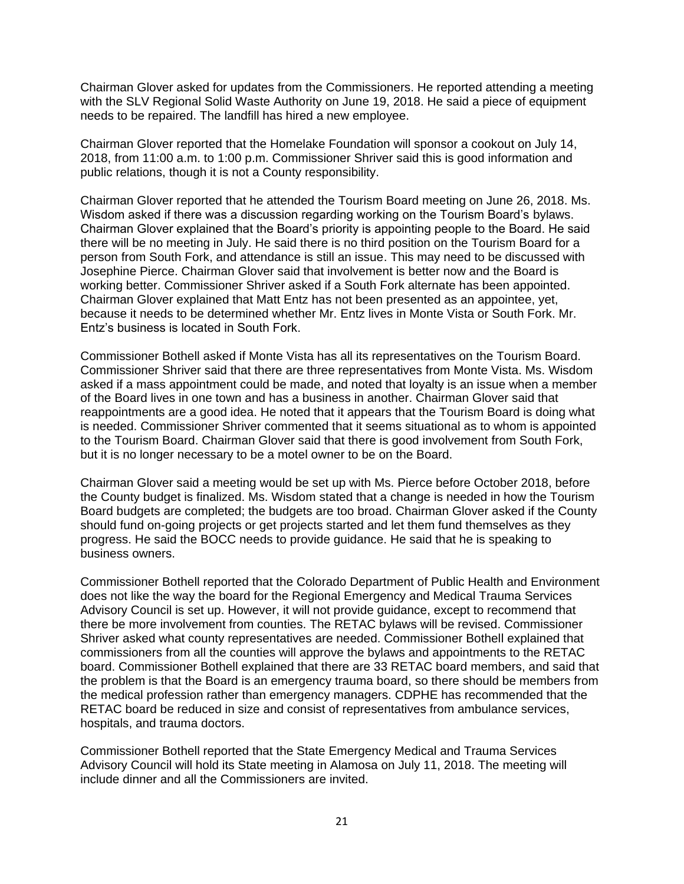Chairman Glover asked for updates from the Commissioners. He reported attending a meeting with the SLV Regional Solid Waste Authority on June 19, 2018. He said a piece of equipment needs to be repaired. The landfill has hired a new employee.

Chairman Glover reported that the Homelake Foundation will sponsor a cookout on July 14, 2018, from 11:00 a.m. to 1:00 p.m. Commissioner Shriver said this is good information and public relations, though it is not a County responsibility.

Chairman Glover reported that he attended the Tourism Board meeting on June 26, 2018. Ms. Wisdom asked if there was a discussion regarding working on the Tourism Board's bylaws. Chairman Glover explained that the Board's priority is appointing people to the Board. He said there will be no meeting in July. He said there is no third position on the Tourism Board for a person from South Fork, and attendance is still an issue. This may need to be discussed with Josephine Pierce. Chairman Glover said that involvement is better now and the Board is working better. Commissioner Shriver asked if a South Fork alternate has been appointed. Chairman Glover explained that Matt Entz has not been presented as an appointee, yet, because it needs to be determined whether Mr. Entz lives in Monte Vista or South Fork. Mr. Entz's business is located in South Fork.

Commissioner Bothell asked if Monte Vista has all its representatives on the Tourism Board. Commissioner Shriver said that there are three representatives from Monte Vista. Ms. Wisdom asked if a mass appointment could be made, and noted that loyalty is an issue when a member of the Board lives in one town and has a business in another. Chairman Glover said that reappointments are a good idea. He noted that it appears that the Tourism Board is doing what is needed. Commissioner Shriver commented that it seems situational as to whom is appointed to the Tourism Board. Chairman Glover said that there is good involvement from South Fork, but it is no longer necessary to be a motel owner to be on the Board.

Chairman Glover said a meeting would be set up with Ms. Pierce before October 2018, before the County budget is finalized. Ms. Wisdom stated that a change is needed in how the Tourism Board budgets are completed; the budgets are too broad. Chairman Glover asked if the County should fund on-going projects or get projects started and let them fund themselves as they progress. He said the BOCC needs to provide guidance. He said that he is speaking to business owners.

Commissioner Bothell reported that the Colorado Department of Public Health and Environment does not like the way the board for the Regional Emergency and Medical Trauma Services Advisory Council is set up. However, it will not provide guidance, except to recommend that there be more involvement from counties. The RETAC bylaws will be revised. Commissioner Shriver asked what county representatives are needed. Commissioner Bothell explained that commissioners from all the counties will approve the bylaws and appointments to the RETAC board. Commissioner Bothell explained that there are 33 RETAC board members, and said that the problem is that the Board is an emergency trauma board, so there should be members from the medical profession rather than emergency managers. CDPHE has recommended that the RETAC board be reduced in size and consist of representatives from ambulance services, hospitals, and trauma doctors.

Commissioner Bothell reported that the State Emergency Medical and Trauma Services Advisory Council will hold its State meeting in Alamosa on July 11, 2018. The meeting will include dinner and all the Commissioners are invited.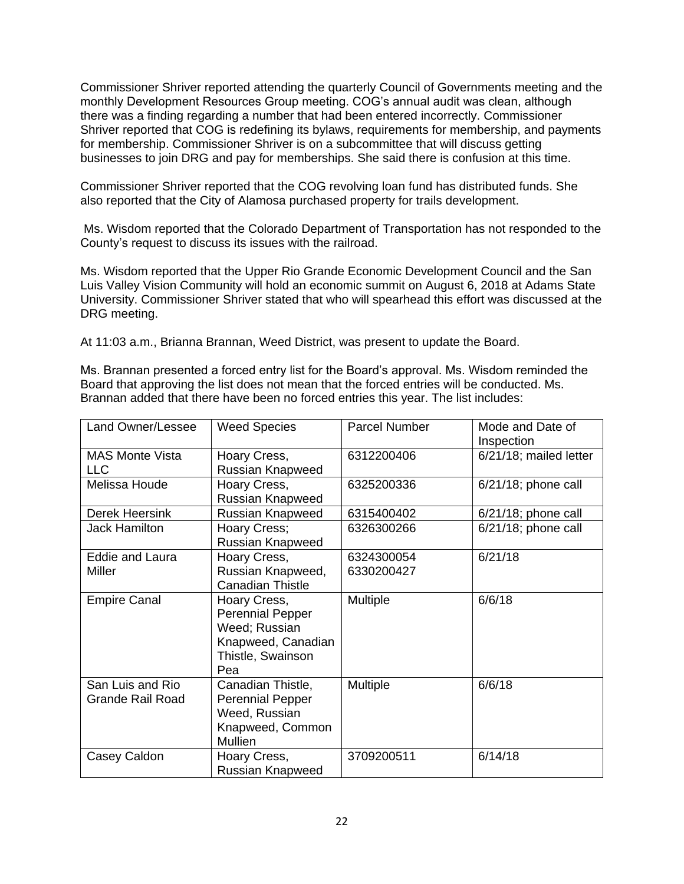Commissioner Shriver reported attending the quarterly Council of Governments meeting and the monthly Development Resources Group meeting. COG's annual audit was clean, although there was a finding regarding a number that had been entered incorrectly. Commissioner Shriver reported that COG is redefining its bylaws, requirements for membership, and payments for membership. Commissioner Shriver is on a subcommittee that will discuss getting businesses to join DRG and pay for memberships. She said there is confusion at this time.

Commissioner Shriver reported that the COG revolving loan fund has distributed funds. She also reported that the City of Alamosa purchased property for trails development.

Ms. Wisdom reported that the Colorado Department of Transportation has not responded to the County's request to discuss its issues with the railroad.

Ms. Wisdom reported that the Upper Rio Grande Economic Development Council and the San Luis Valley Vision Community will hold an economic summit on August 6, 2018 at Adams State University. Commissioner Shriver stated that who will spearhead this effort was discussed at the DRG meeting.

At 11:03 a.m., Brianna Brannan, Weed District, was present to update the Board.

Ms. Brannan presented a forced entry list for the Board's approval. Ms. Wisdom reminded the Board that approving the list does not mean that the forced entries will be conducted. Ms. Brannan added that there have been no forced entries this year. The list includes:

| Land Owner/Lessee                    | <b>Weed Species</b>                                                                                        | <b>Parcel Number</b>     | Mode and Date of<br>Inspection |
|--------------------------------------|------------------------------------------------------------------------------------------------------------|--------------------------|--------------------------------|
| <b>MAS Monte Vista</b><br><b>LLC</b> | Hoary Cress,<br>Russian Knapweed                                                                           | 6312200406               | 6/21/18; mailed letter         |
| Melissa Houde                        | Hoary Cress,<br>Russian Knapweed                                                                           | 6325200336               | 6/21/18; phone call            |
| Derek Heersink                       | Russian Knapweed                                                                                           | 6315400402               | $6/21/18$ ; phone call         |
| <b>Jack Hamilton</b>                 | Hoary Cress;<br>Russian Knapweed                                                                           | 6326300266               | $6/21/18$ ; phone call         |
| Eddie and Laura<br><b>Miller</b>     | Hoary Cress,<br>Russian Knapweed,<br><b>Canadian Thistle</b>                                               | 6324300054<br>6330200427 | 6/21/18                        |
| <b>Empire Canal</b>                  | Hoary Cress,<br><b>Perennial Pepper</b><br>Weed; Russian<br>Knapweed, Canadian<br>Thistle, Swainson<br>Pea | Multiple                 | 6/6/18                         |
| San Luis and Rio<br>Grande Rail Road | Canadian Thistle,<br><b>Perennial Pepper</b><br>Weed, Russian<br>Knapweed, Common<br><b>Mullien</b>        | Multiple                 | 6/6/18                         |
| Casey Caldon                         | Hoary Cress,<br>Russian Knapweed                                                                           | 3709200511               | 6/14/18                        |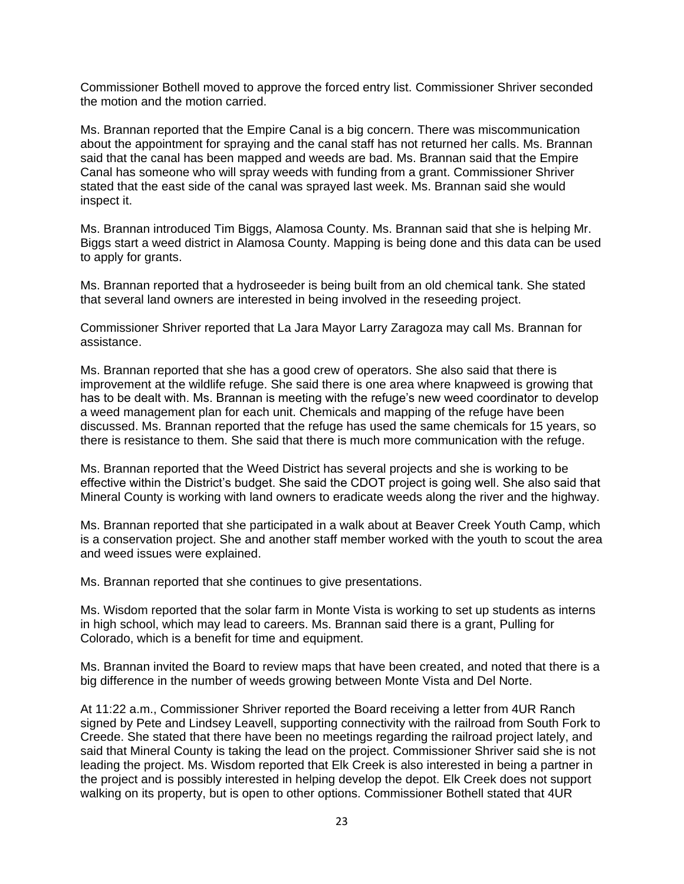Commissioner Bothell moved to approve the forced entry list. Commissioner Shriver seconded the motion and the motion carried.

Ms. Brannan reported that the Empire Canal is a big concern. There was miscommunication about the appointment for spraying and the canal staff has not returned her calls. Ms. Brannan said that the canal has been mapped and weeds are bad. Ms. Brannan said that the Empire Canal has someone who will spray weeds with funding from a grant. Commissioner Shriver stated that the east side of the canal was sprayed last week. Ms. Brannan said she would inspect it.

Ms. Brannan introduced Tim Biggs, Alamosa County. Ms. Brannan said that she is helping Mr. Biggs start a weed district in Alamosa County. Mapping is being done and this data can be used to apply for grants.

Ms. Brannan reported that a hydroseeder is being built from an old chemical tank. She stated that several land owners are interested in being involved in the reseeding project.

Commissioner Shriver reported that La Jara Mayor Larry Zaragoza may call Ms. Brannan for assistance.

Ms. Brannan reported that she has a good crew of operators. She also said that there is improvement at the wildlife refuge. She said there is one area where knapweed is growing that has to be dealt with. Ms. Brannan is meeting with the refuge's new weed coordinator to develop a weed management plan for each unit. Chemicals and mapping of the refuge have been discussed. Ms. Brannan reported that the refuge has used the same chemicals for 15 years, so there is resistance to them. She said that there is much more communication with the refuge.

Ms. Brannan reported that the Weed District has several projects and she is working to be effective within the District's budget. She said the CDOT project is going well. She also said that Mineral County is working with land owners to eradicate weeds along the river and the highway.

Ms. Brannan reported that she participated in a walk about at Beaver Creek Youth Camp, which is a conservation project. She and another staff member worked with the youth to scout the area and weed issues were explained.

Ms. Brannan reported that she continues to give presentations.

Ms. Wisdom reported that the solar farm in Monte Vista is working to set up students as interns in high school, which may lead to careers. Ms. Brannan said there is a grant, Pulling for Colorado, which is a benefit for time and equipment.

Ms. Brannan invited the Board to review maps that have been created, and noted that there is a big difference in the number of weeds growing between Monte Vista and Del Norte.

At 11:22 a.m., Commissioner Shriver reported the Board receiving a letter from 4UR Ranch signed by Pete and Lindsey Leavell, supporting connectivity with the railroad from South Fork to Creede. She stated that there have been no meetings regarding the railroad project lately, and said that Mineral County is taking the lead on the project. Commissioner Shriver said she is not leading the project. Ms. Wisdom reported that Elk Creek is also interested in being a partner in the project and is possibly interested in helping develop the depot. Elk Creek does not support walking on its property, but is open to other options. Commissioner Bothell stated that 4UR